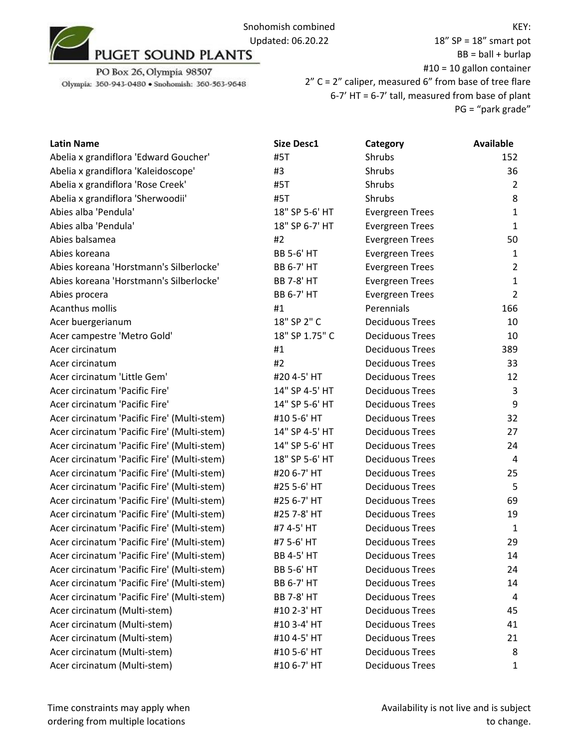

PO Box 26, Olympia 98507 Olympia: 360-943-0480 · Snohomish: 360-563-9648

18" SP = 18" smart pot  $BB = ball + burlap$ #10 = 10 gallon container 2" C = 2" caliper, measured 6" from base of tree flare 6-7' HT = 6-7' tall, measured from base of plant PG = "park grade"

| <b>Latin Name</b>                           | <b>Size Desc1</b> | Category               | <b>Available</b> |
|---------------------------------------------|-------------------|------------------------|------------------|
| Abelia x grandiflora 'Edward Goucher'       | #5T               | Shrubs                 | 152              |
| Abelia x grandiflora 'Kaleidoscope'         | #3                | Shrubs                 | 36               |
| Abelia x grandiflora 'Rose Creek'           | #5T               | Shrubs                 | $\overline{2}$   |
| Abelia x grandiflora 'Sherwoodii'           | #5T               | Shrubs                 | 8                |
| Abies alba 'Pendula'                        | 18" SP 5-6' HT    | <b>Evergreen Trees</b> | 1                |
| Abies alba 'Pendula'                        | 18" SP 6-7' HT    | <b>Evergreen Trees</b> | $\mathbf{1}$     |
| Abies balsamea                              | #2                | <b>Evergreen Trees</b> | 50               |
| Abies koreana                               | <b>BB 5-6' HT</b> | <b>Evergreen Trees</b> | 1                |
| Abies koreana 'Horstmann's Silberlocke'     | <b>BB 6-7' HT</b> | <b>Evergreen Trees</b> | $\overline{2}$   |
| Abies koreana 'Horstmann's Silberlocke'     | <b>BB 7-8' HT</b> | <b>Evergreen Trees</b> | 1                |
| Abies procera                               | <b>BB 6-7' HT</b> | <b>Evergreen Trees</b> | $\overline{2}$   |
| Acanthus mollis                             | #1                | Perennials             | 166              |
| Acer buergerianum                           | 18" SP 2" C       | <b>Deciduous Trees</b> | 10               |
| Acer campestre 'Metro Gold'                 | 18" SP 1.75" C    | <b>Deciduous Trees</b> | 10               |
| Acer circinatum                             | #1                | <b>Deciduous Trees</b> | 389              |
| Acer circinatum                             | #2                | <b>Deciduous Trees</b> | 33               |
| Acer circinatum 'Little Gem'                | #20 4-5' HT       | <b>Deciduous Trees</b> | 12               |
| Acer circinatum 'Pacific Fire'              | 14" SP 4-5' HT    | <b>Deciduous Trees</b> | 3                |
| Acer circinatum 'Pacific Fire'              | 14" SP 5-6' HT    | <b>Deciduous Trees</b> | 9                |
| Acer circinatum 'Pacific Fire' (Multi-stem) | #10 5-6' HT       | <b>Deciduous Trees</b> | 32               |
| Acer circinatum 'Pacific Fire' (Multi-stem) | 14" SP 4-5' HT    | <b>Deciduous Trees</b> | 27               |
| Acer circinatum 'Pacific Fire' (Multi-stem) | 14" SP 5-6' HT    | <b>Deciduous Trees</b> | 24               |
| Acer circinatum 'Pacific Fire' (Multi-stem) | 18" SP 5-6' HT    | <b>Deciduous Trees</b> | 4                |
| Acer circinatum 'Pacific Fire' (Multi-stem) | #20 6-7' HT       | <b>Deciduous Trees</b> | 25               |
| Acer circinatum 'Pacific Fire' (Multi-stem) | #25 5-6' HT       | <b>Deciduous Trees</b> | 5                |
| Acer circinatum 'Pacific Fire' (Multi-stem) | #25 6-7' HT       | <b>Deciduous Trees</b> | 69               |
| Acer circinatum 'Pacific Fire' (Multi-stem) | #25 7-8' HT       | <b>Deciduous Trees</b> | 19               |
| Acer circinatum 'Pacific Fire' (Multi-stem) | #7 4-5' HT        | <b>Deciduous Trees</b> | 1                |
| Acer circinatum 'Pacific Fire' (Multi-stem) | #7 5-6' HT        | <b>Deciduous Trees</b> | 29               |
| Acer circinatum 'Pacific Fire' (Multi-stem) | <b>BB 4-5' HT</b> | <b>Deciduous Trees</b> | 14               |
| Acer circinatum 'Pacific Fire' (Multi-stem) | <b>BB 5-6' HT</b> | <b>Deciduous Trees</b> | 24               |
| Acer circinatum 'Pacific Fire' (Multi-stem) | <b>BB 6-7' HT</b> | <b>Deciduous Trees</b> | 14               |
| Acer circinatum 'Pacific Fire' (Multi-stem) | <b>BB 7-8' HT</b> | <b>Deciduous Trees</b> | 4                |
| Acer circinatum (Multi-stem)                | #10 2-3' HT       | <b>Deciduous Trees</b> | 45               |
| Acer circinatum (Multi-stem)                | #10 3-4' HT       | <b>Deciduous Trees</b> | 41               |
| Acer circinatum (Multi-stem)                | #10 4-5' HT       | <b>Deciduous Trees</b> | 21               |
| Acer circinatum (Multi-stem)                | #10 5-6' HT       | <b>Deciduous Trees</b> | 8                |
| Acer circinatum (Multi-stem)                | #10 6-7' HT       | <b>Deciduous Trees</b> | 1                |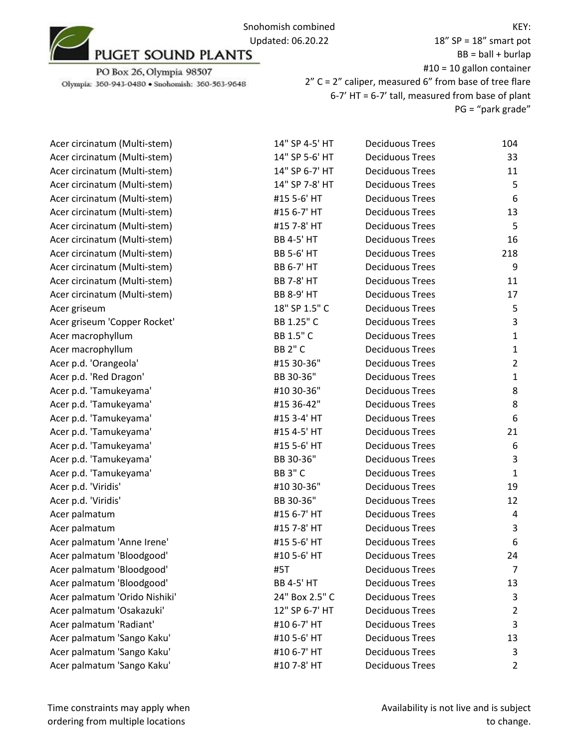

PO Box 26, Olympia 98507 Olympia: 360-943-0480 · Snohomish: 360-563-9648

18" SP = 18" smart pot  $BB = ball + burlap$ #10 = 10 gallon container 2" C = 2" caliper, measured 6" from base of tree flare 6-7' HT = 6-7' tall, measured from base of plant PG = "park grade"

| Acer circinatum (Multi-stem)  | 14" SP 4-5' HT    | <b>Deciduous Trees</b> | 104            |
|-------------------------------|-------------------|------------------------|----------------|
| Acer circinatum (Multi-stem)  | 14" SP 5-6' HT    | <b>Deciduous Trees</b> | 33             |
| Acer circinatum (Multi-stem)  | 14" SP 6-7' HT    | <b>Deciduous Trees</b> | 11             |
| Acer circinatum (Multi-stem)  | 14" SP 7-8' HT    | <b>Deciduous Trees</b> | 5              |
| Acer circinatum (Multi-stem)  | #15 5-6' HT       | <b>Deciduous Trees</b> | 6              |
| Acer circinatum (Multi-stem)  | #15 6-7' HT       | <b>Deciduous Trees</b> | 13             |
| Acer circinatum (Multi-stem)  | #15 7-8' HT       | <b>Deciduous Trees</b> | 5              |
| Acer circinatum (Multi-stem)  | <b>BB 4-5' HT</b> | <b>Deciduous Trees</b> | 16             |
| Acer circinatum (Multi-stem)  | <b>BB 5-6' HT</b> | <b>Deciduous Trees</b> | 218            |
| Acer circinatum (Multi-stem)  | <b>BB 6-7' HT</b> | <b>Deciduous Trees</b> | 9              |
| Acer circinatum (Multi-stem)  | <b>BB 7-8' HT</b> | <b>Deciduous Trees</b> | 11             |
| Acer circinatum (Multi-stem)  | <b>BB 8-9' HT</b> | <b>Deciduous Trees</b> | 17             |
| Acer griseum                  | 18" SP 1.5" C     | <b>Deciduous Trees</b> | 5              |
| Acer griseum 'Copper Rocket'  | BB 1.25" C        | <b>Deciduous Trees</b> | 3              |
| Acer macrophyllum             | BB 1.5" C         | <b>Deciduous Trees</b> | 1              |
| Acer macrophyllum             | <b>BB 2" C</b>    | <b>Deciduous Trees</b> | $\mathbf{1}$   |
| Acer p.d. 'Orangeola'         | #15 30-36"        | <b>Deciduous Trees</b> | $\overline{2}$ |
| Acer p.d. 'Red Dragon'        | BB 30-36"         | <b>Deciduous Trees</b> | $\mathbf{1}$   |
| Acer p.d. 'Tamukeyama'        | #10 30-36"        | <b>Deciduous Trees</b> | 8              |
| Acer p.d. 'Tamukeyama'        | #15 36-42"        | <b>Deciduous Trees</b> | $\bf 8$        |
| Acer p.d. 'Tamukeyama'        | #15 3-4' HT       | <b>Deciduous Trees</b> | 6              |
| Acer p.d. 'Tamukeyama'        | #15 4-5' HT       | <b>Deciduous Trees</b> | 21             |
| Acer p.d. 'Tamukeyama'        | #15 5-6' HT       | <b>Deciduous Trees</b> | 6              |
| Acer p.d. 'Tamukeyama'        | BB 30-36"         | <b>Deciduous Trees</b> | 3              |
| Acer p.d. 'Tamukeyama'        | <b>BB 3" C</b>    | <b>Deciduous Trees</b> | 1              |
| Acer p.d. 'Viridis'           | #10 30-36"        | <b>Deciduous Trees</b> | 19             |
| Acer p.d. 'Viridis'           | BB 30-36"         | <b>Deciduous Trees</b> | 12             |
| Acer palmatum                 | #15 6-7' HT       | <b>Deciduous Trees</b> | 4              |
| Acer palmatum                 | #15 7-8' HT       | <b>Deciduous Trees</b> | 3              |
| Acer palmatum 'Anne Irene'    | #15 5-6' HT       | <b>Deciduous Trees</b> | 6              |
| Acer palmatum 'Bloodgood'     | #10 5-6' HT       | <b>Deciduous Trees</b> | 24             |
| Acer palmatum 'Bloodgood'     | #5T               | <b>Deciduous Trees</b> | 7              |
| Acer palmatum 'Bloodgood'     | <b>BB 4-5' HT</b> | <b>Deciduous Trees</b> | 13             |
| Acer palmatum 'Orido Nishiki' | 24" Box 2.5" C    | <b>Deciduous Trees</b> | 3              |
| Acer palmatum 'Osakazuki'     | 12" SP 6-7' HT    | <b>Deciduous Trees</b> | $\overline{2}$ |
| Acer palmatum 'Radiant'       | #10 6-7' HT       | <b>Deciduous Trees</b> | 3              |
| Acer palmatum 'Sango Kaku'    | #10 5-6' HT       | <b>Deciduous Trees</b> | 13             |
| Acer palmatum 'Sango Kaku'    | #10 6-7' HT       | <b>Deciduous Trees</b> | 3              |
| Acer palmatum 'Sango Kaku'    | #10 7-8' HT       | <b>Deciduous Trees</b> | 2              |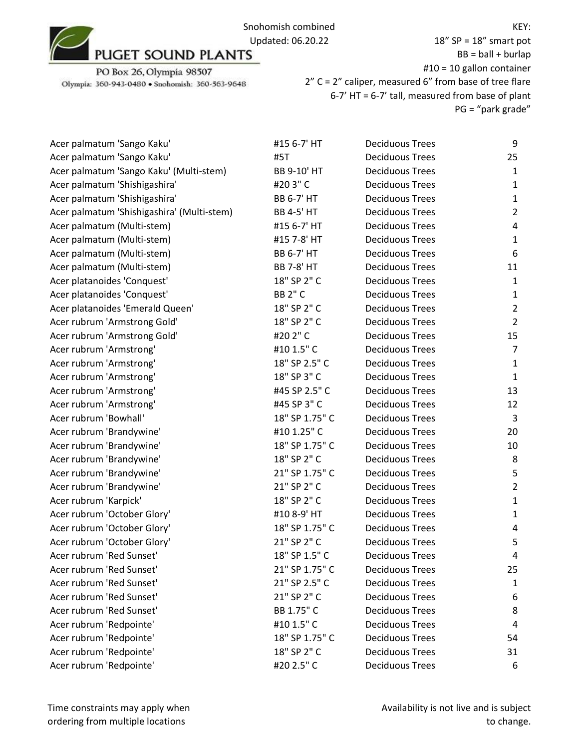

PO Box 26, Olympia 98507 Olympia: 360-943-0480 · Snohomish: 360-563-9648

18" SP = 18" smart pot  $BB = ball + burlap$ #10 = 10 gallon container 2" C = 2" caliper, measured 6" from base of tree flare 6-7' HT = 6-7' tall, measured from base of plant PG = "park grade"

| Acer palmatum 'Sango Kaku'                 | #15 6-7' HT       | <b>Deciduous Trees</b> | 9              |
|--------------------------------------------|-------------------|------------------------|----------------|
| Acer palmatum 'Sango Kaku'                 | #5T               | <b>Deciduous Trees</b> | 25             |
| Acer palmatum 'Sango Kaku' (Multi-stem)    | BB 9-10' HT       | <b>Deciduous Trees</b> | $\mathbf{1}$   |
| Acer palmatum 'Shishigashira'              | #203"C            | <b>Deciduous Trees</b> | 1              |
| Acer palmatum 'Shishigashira'              | <b>BB 6-7' HT</b> | <b>Deciduous Trees</b> | 1              |
| Acer palmatum 'Shishigashira' (Multi-stem) | <b>BB 4-5' HT</b> | <b>Deciduous Trees</b> | $\overline{2}$ |
| Acer palmatum (Multi-stem)                 | #15 6-7' HT       | <b>Deciduous Trees</b> | 4              |
| Acer palmatum (Multi-stem)                 | #15 7-8' HT       | <b>Deciduous Trees</b> | $\mathbf{1}$   |
| Acer palmatum (Multi-stem)                 | <b>BB 6-7' HT</b> | <b>Deciduous Trees</b> | 6              |
| Acer palmatum (Multi-stem)                 | <b>BB 7-8' HT</b> | <b>Deciduous Trees</b> | 11             |
| Acer platanoides 'Conquest'                | 18" SP 2" C       | <b>Deciduous Trees</b> | 1              |
| Acer platanoides 'Conquest'                | <b>BB 2" C</b>    | <b>Deciduous Trees</b> | 1              |
| Acer platanoides 'Emerald Queen'           | 18" SP 2" C       | <b>Deciduous Trees</b> | $\overline{2}$ |
| Acer rubrum 'Armstrong Gold'               | 18" SP 2" C       | <b>Deciduous Trees</b> | $\overline{2}$ |
| Acer rubrum 'Armstrong Gold'               | #20 2" C          | <b>Deciduous Trees</b> | 15             |
| Acer rubrum 'Armstrong'                    | #10 1.5" C        | <b>Deciduous Trees</b> | $\overline{7}$ |
| Acer rubrum 'Armstrong'                    | 18" SP 2.5" C     | <b>Deciduous Trees</b> | $\mathbf{1}$   |
| Acer rubrum 'Armstrong'                    | 18" SP 3" C       | <b>Deciduous Trees</b> | 1              |
| Acer rubrum 'Armstrong'                    | #45 SP 2.5" C     | <b>Deciduous Trees</b> | 13             |
| Acer rubrum 'Armstrong'                    | #45 SP 3" C       | <b>Deciduous Trees</b> | 12             |
| Acer rubrum 'Bowhall'                      | 18" SP 1.75" C    | <b>Deciduous Trees</b> | 3              |
| Acer rubrum 'Brandywine'                   | #10 1.25" C       | <b>Deciduous Trees</b> | 20             |
| Acer rubrum 'Brandywine'                   | 18" SP 1.75" C    | <b>Deciduous Trees</b> | 10             |
| Acer rubrum 'Brandywine'                   | 18" SP 2" C       | <b>Deciduous Trees</b> | 8              |
| Acer rubrum 'Brandywine'                   | 21" SP 1.75" C    | <b>Deciduous Trees</b> | 5              |
| Acer rubrum 'Brandywine'                   | 21" SP 2" C       | <b>Deciduous Trees</b> | $\overline{2}$ |
| Acer rubrum 'Karpick'                      | 18" SP 2" C       | <b>Deciduous Trees</b> | $\mathbf{1}$   |
| Acer rubrum 'October Glory'                | #10 8-9' HT       | <b>Deciduous Trees</b> | 1              |
| Acer rubrum 'October Glory'                | 18" SP 1.75" C    | <b>Deciduous Trees</b> | 4              |
| Acer rubrum 'October Glory'                | 21" SP 2" C       | <b>Deciduous Trees</b> | 5              |
| Acer rubrum 'Red Sunset'                   | 18" SP 1.5" C     | <b>Deciduous Trees</b> | 4              |
| Acer rubrum 'Red Sunset'                   | 21" SP 1.75" C    | <b>Deciduous Trees</b> | 25             |
| Acer rubrum 'Red Sunset'                   | 21" SP 2.5" C     | <b>Deciduous Trees</b> | 1              |
| Acer rubrum 'Red Sunset'                   | 21" SP 2" C       | <b>Deciduous Trees</b> | 6              |
| Acer rubrum 'Red Sunset'                   | BB 1.75" C        | <b>Deciduous Trees</b> | 8              |
| Acer rubrum 'Redpointe'                    | #10 1.5" C        | <b>Deciduous Trees</b> | 4              |
| Acer rubrum 'Redpointe'                    | 18" SP 1.75" C    | <b>Deciduous Trees</b> | 54             |
| Acer rubrum 'Redpointe'                    | 18" SP 2" C       | <b>Deciduous Trees</b> | 31             |
| Acer rubrum 'Redpointe'                    | #20 2.5" C        | <b>Deciduous Trees</b> | 6              |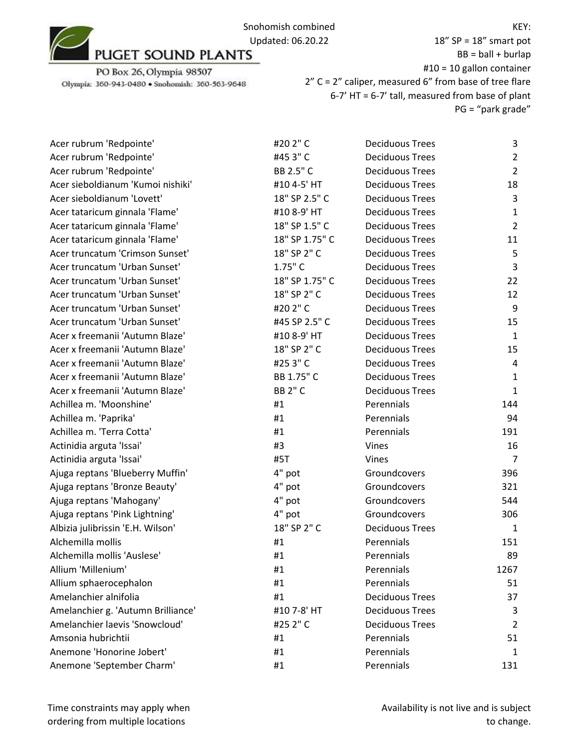

PO Box 26, Olympia 98507 Olympia: 360-943-0480 · Snohomish: 360-563-9648

18" SP = 18" smart pot  $BB = ball + burlap$ #10 = 10 gallon container 2" C = 2" caliper, measured 6" from base of tree flare 6-7' HT = 6-7' tall, measured from base of plant PG = "park grade"

| Acer rubrum 'Redpointe'            | #20 2" C       | <b>Deciduous Trees</b> | 3              |
|------------------------------------|----------------|------------------------|----------------|
| Acer rubrum 'Redpointe'            | #453"C         | <b>Deciduous Trees</b> | $\overline{2}$ |
| Acer rubrum 'Redpointe'            | BB 2.5" C      | <b>Deciduous Trees</b> | $\overline{2}$ |
| Acer sieboldianum 'Kumoi nishiki'  | #10 4-5' HT    | <b>Deciduous Trees</b> | 18             |
| Acer sieboldianum 'Lovett'         | 18" SP 2.5" C  | <b>Deciduous Trees</b> | 3              |
| Acer tataricum ginnala 'Flame'     | #10 8-9' HT    | <b>Deciduous Trees</b> | 1              |
| Acer tataricum ginnala 'Flame'     | 18" SP 1.5" C  | <b>Deciduous Trees</b> | $\overline{2}$ |
| Acer tataricum ginnala 'Flame'     | 18" SP 1.75" C | <b>Deciduous Trees</b> | 11             |
| Acer truncatum 'Crimson Sunset'    | 18" SP 2" C    | <b>Deciduous Trees</b> | 5              |
| Acer truncatum 'Urban Sunset'      | 1.75" C        | <b>Deciduous Trees</b> | 3              |
| Acer truncatum 'Urban Sunset'      | 18" SP 1.75" C | <b>Deciduous Trees</b> | 22             |
| Acer truncatum 'Urban Sunset'      | 18" SP 2" C    | <b>Deciduous Trees</b> | 12             |
| Acer truncatum 'Urban Sunset'      | #202"C         | <b>Deciduous Trees</b> | 9              |
| Acer truncatum 'Urban Sunset'      | #45 SP 2.5" C  | <b>Deciduous Trees</b> | 15             |
| Acer x freemanii 'Autumn Blaze'    | #10 8-9' HT    | <b>Deciduous Trees</b> | 1              |
| Acer x freemanii 'Autumn Blaze'    | 18" SP 2" C    | <b>Deciduous Trees</b> | 15             |
| Acer x freemanii 'Autumn Blaze'    | #253"C         | <b>Deciduous Trees</b> | 4              |
| Acer x freemanii 'Autumn Blaze'    | BB 1.75" C     | <b>Deciduous Trees</b> | $\mathbf{1}$   |
| Acer x freemanii 'Autumn Blaze'    | <b>BB 2" C</b> | <b>Deciduous Trees</b> | 1              |
| Achillea m. 'Moonshine'            | #1             | Perennials             | 144            |
| Achillea m. 'Paprika'              | #1             | Perennials             | 94             |
| Achillea m. 'Terra Cotta'          | #1             | Perennials             | 191            |
| Actinidia arguta 'Issai'           | #3             | Vines                  | 16             |
| Actinidia arguta 'Issai'           | #5T            | Vines                  | $\overline{7}$ |
| Ajuga reptans 'Blueberry Muffin'   | 4" pot         | Groundcovers           | 396            |
| Ajuga reptans 'Bronze Beauty'      | 4" pot         | Groundcovers           | 321            |
| Ajuga reptans 'Mahogany'           | 4" pot         | Groundcovers           | 544            |
| Ajuga reptans 'Pink Lightning'     | 4" pot         | Groundcovers           | 306            |
| Albizia julibrissin 'E.H. Wilson'  | 18" SP 2" C    | <b>Deciduous Trees</b> | 1              |
| Alchemilla mollis                  | #1             | Perennials             | 151            |
| Alchemilla mollis 'Auslese'        | #1             | Perennials             | 89             |
| Allium 'Millenium'                 | #1             | Perennials             | 1267           |
| Allium sphaerocephalon             | #1             | Perennials             | 51             |
| Amelanchier alnifolia              | #1             | <b>Deciduous Trees</b> | 37             |
| Amelanchier g. 'Autumn Brilliance' | #10 7-8' HT    | <b>Deciduous Trees</b> | 3              |
| Amelanchier laevis 'Snowcloud'     | #25 2" C       | <b>Deciduous Trees</b> | $\overline{2}$ |
| Amsonia hubrichtii                 | #1             | Perennials             | 51             |
| Anemone 'Honorine Jobert'          | #1             | Perennials             | 1              |
| Anemone 'September Charm'          | #1             | Perennials             | 131            |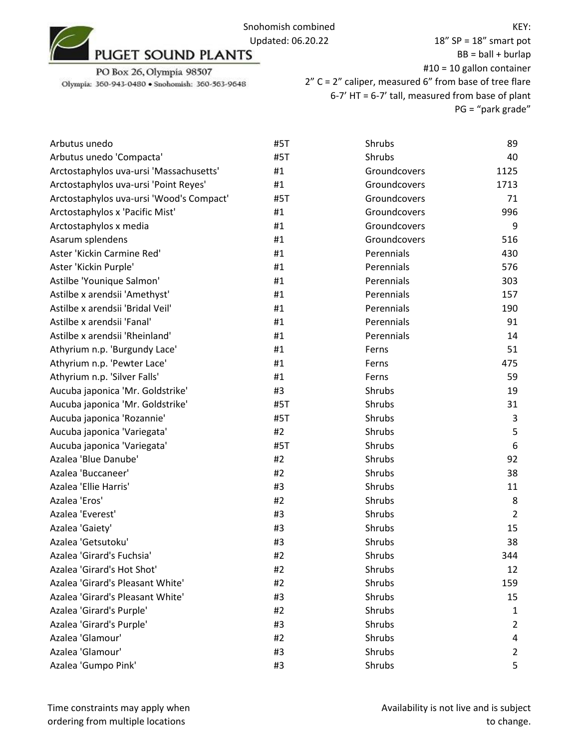

PO Box 26, Olympia 98507 Olympia: 360-943-0480 · Snohomish: 360-563-9648

| Arbutus unedo                            | #5T | Shrubs       | 89             |
|------------------------------------------|-----|--------------|----------------|
| Arbutus unedo 'Compacta'                 | #5T | Shrubs       | 40             |
| Arctostaphylos uva-ursi 'Massachusetts'  | #1  | Groundcovers | 1125           |
| Arctostaphylos uva-ursi 'Point Reyes'    | #1  | Groundcovers | 1713           |
| Arctostaphylos uva-ursi 'Wood's Compact' | #5T | Groundcovers | 71             |
| Arctostaphylos x 'Pacific Mist'          | #1  | Groundcovers | 996            |
| Arctostaphylos x media                   | #1  | Groundcovers | 9              |
| Asarum splendens                         | #1  | Groundcovers | 516            |
| Aster 'Kickin Carmine Red'               | #1  | Perennials   | 430            |
| Aster 'Kickin Purple'                    | #1  | Perennials   | 576            |
| Astilbe 'Younique Salmon'                | #1  | Perennials   | 303            |
| Astilbe x arendsii 'Amethyst'            | #1  | Perennials   | 157            |
| Astilbe x arendsii 'Bridal Veil'         | #1  | Perennials   | 190            |
| Astilbe x arendsii 'Fanal'               | #1  | Perennials   | 91             |
| Astilbe x arendsii 'Rheinland'           | #1  | Perennials   | 14             |
| Athyrium n.p. 'Burgundy Lace'            | #1  | Ferns        | 51             |
| Athyrium n.p. 'Pewter Lace'              | #1  | Ferns        | 475            |
| Athyrium n.p. 'Silver Falls'             | #1  | Ferns        | 59             |
| Aucuba japonica 'Mr. Goldstrike'         | #3  | Shrubs       | 19             |
| Aucuba japonica 'Mr. Goldstrike'         | #5T | Shrubs       | 31             |
| Aucuba japonica 'Rozannie'               | #5T | Shrubs       | 3              |
| Aucuba japonica 'Variegata'              | #2  | Shrubs       | 5              |
| Aucuba japonica 'Variegata'              | #5T | Shrubs       | 6              |
| Azalea 'Blue Danube'                     | #2  | Shrubs       | 92             |
| Azalea 'Buccaneer'                       | #2  | Shrubs       | 38             |
| Azalea 'Ellie Harris'                    | #3  | Shrubs       | 11             |
| Azalea 'Eros'                            | #2  | Shrubs       | 8              |
| Azalea 'Everest'                         | #3  | Shrubs       | $\overline{2}$ |
| Azalea 'Gaiety'                          | #3  | Shrubs       | 15             |
| Azalea 'Getsutoku'                       | #3  | Shrubs       | 38             |
| Azalea 'Girard's Fuchsia'                | #2  | Shrubs       | 344            |
| Azalea 'Girard's Hot Shot'               | #2  | Shrubs       | 12             |
| Azalea 'Girard's Pleasant White'         | #2  | Shrubs       | 159            |
| Azalea 'Girard's Pleasant White'         | #3  | Shrubs       | 15             |
| Azalea 'Girard's Purple'                 | #2  | Shrubs       | 1              |
| Azalea 'Girard's Purple'                 | #3  | Shrubs       | 2              |
| Azalea 'Glamour'                         | #2  | Shrubs       | 4              |
| Azalea 'Glamour'                         | #3  | Shrubs       | $\overline{2}$ |
| Azalea 'Gumpo Pink'                      | #3  | Shrubs       | 5              |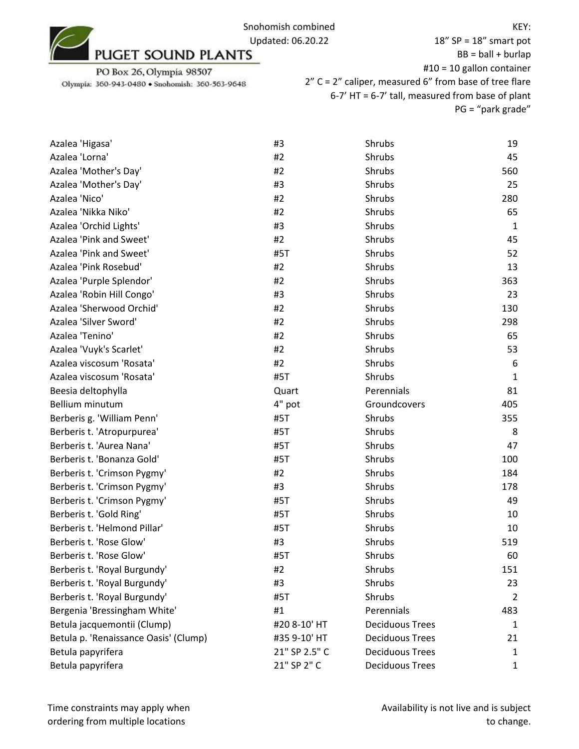

PO Box 26, Olympia 98507 Olympia: 360-943-0480 · Snohomish: 360-563-9648

18" SP = 18" smart pot  $BB = ball + burlap$ #10 = 10 gallon container 2" C = 2" caliper, measured 6" from base of tree flare 6-7' HT = 6-7' tall, measured from base of plant PG = "park grade"

| Azalea 'Higasa'                       | #3            | Shrubs                 | 19             |
|---------------------------------------|---------------|------------------------|----------------|
| Azalea 'Lorna'                        | #2            | Shrubs                 | 45             |
| Azalea 'Mother's Day'                 | #2            | Shrubs                 | 560            |
| Azalea 'Mother's Day'                 | #3            | Shrubs                 | 25             |
| Azalea 'Nico'                         | #2            | Shrubs                 | 280            |
| Azalea 'Nikka Niko'                   | #2            | Shrubs                 | 65             |
| Azalea 'Orchid Lights'                | #3            | Shrubs                 | $\mathbf{1}$   |
| Azalea 'Pink and Sweet'               | #2            | Shrubs                 | 45             |
| Azalea 'Pink and Sweet'               | #5T           | Shrubs                 | 52             |
| Azalea 'Pink Rosebud'                 | #2            | Shrubs                 | 13             |
| Azalea 'Purple Splendor'              | #2            | Shrubs                 | 363            |
| Azalea 'Robin Hill Congo'             | #3            | Shrubs                 | 23             |
| Azalea 'Sherwood Orchid'              | #2            | Shrubs                 | 130            |
| Azalea 'Silver Sword'                 | #2            | Shrubs                 | 298            |
| Azalea 'Tenino'                       | #2            | Shrubs                 | 65             |
| Azalea 'Vuyk's Scarlet'               | #2            | Shrubs                 | 53             |
| Azalea viscosum 'Rosata'              | #2            | Shrubs                 | 6              |
| Azalea viscosum 'Rosata'              | #5T           | Shrubs                 | $\mathbf{1}$   |
| Beesia deltophylla                    | Quart         | Perennials             | 81             |
| Bellium minutum                       | 4" pot        | Groundcovers           | 405            |
| Berberis g. 'William Penn'            | #5T           | Shrubs                 | 355            |
| Berberis t. 'Atropurpurea'            | #5T           | Shrubs                 | 8              |
| Berberis t. 'Aurea Nana'              | #5T           | Shrubs                 | 47             |
| Berberis t. 'Bonanza Gold'            | #5T           | Shrubs                 | 100            |
| Berberis t. 'Crimson Pygmy'           | #2            | Shrubs                 | 184            |
| Berberis t. 'Crimson Pygmy'           | #3            | Shrubs                 | 178            |
| Berberis t. 'Crimson Pygmy'           | #5T           | Shrubs                 | 49             |
| Berberis t. 'Gold Ring'               | #5T           | Shrubs                 | 10             |
| Berberis t. 'Helmond Pillar'          | #5T           | Shrubs                 | 10             |
| Berberis t. 'Rose Glow'               | #3            | Shrubs                 | 519            |
| Berberis t. 'Rose Glow'               | #5T           | Shrubs                 | 60             |
| Berberis t. 'Royal Burgundy'          | #2            | Shrubs                 | 151            |
| Berberis t. 'Royal Burgundy'          | #3            | Shrubs                 | 23             |
| Berberis t. 'Royal Burgundy'          | #5T           | Shrubs                 | $\overline{2}$ |
| Bergenia 'Bressingham White'          | #1            | Perennials             | 483            |
| Betula jacquemontii (Clump)           | #20 8-10' HT  | <b>Deciduous Trees</b> | $\mathbf{1}$   |
| Betula p. 'Renaissance Oasis' (Clump) | #35 9-10' HT  | <b>Deciduous Trees</b> | 21             |
| Betula papyrifera                     | 21" SP 2.5" C | <b>Deciduous Trees</b> | 1              |
| Betula papyrifera                     | 21" SP 2" C   | <b>Deciduous Trees</b> | $\mathbf{1}$   |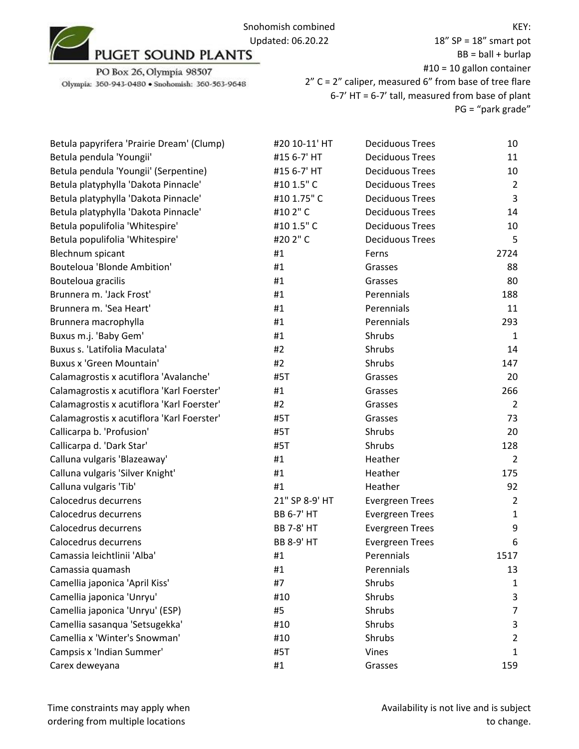

PO Box 26, Olympia 98507 Olympia: 360-943-0480 · Snohomish: 360-563-9648

18" SP = 18" smart pot  $BB = ball + burlap$ #10 = 10 gallon container 2" C = 2" caliper, measured 6" from base of tree flare 6-7' HT = 6-7' tall, measured from base of plant PG = "park grade"

| Betula papyrifera 'Prairie Dream' (Clump)  | #20 10-11' HT     | <b>Deciduous Trees</b> | 10             |
|--------------------------------------------|-------------------|------------------------|----------------|
| Betula pendula 'Youngii'                   | #15 6-7' HT       | <b>Deciduous Trees</b> | 11             |
| Betula pendula 'Youngii' (Serpentine)      | #15 6-7' HT       | <b>Deciduous Trees</b> | 10             |
| Betula platyphylla 'Dakota Pinnacle'       | #10 1.5" C        | <b>Deciduous Trees</b> | $\overline{2}$ |
| Betula platyphylla 'Dakota Pinnacle'       | #10 1.75" C       | <b>Deciduous Trees</b> | 3              |
| Betula platyphylla 'Dakota Pinnacle'       | #102"C            | <b>Deciduous Trees</b> | 14             |
| Betula populifolia 'Whitespire'            | #10 1.5" C        | <b>Deciduous Trees</b> | 10             |
| Betula populifolia 'Whitespire'            | #202"C            | <b>Deciduous Trees</b> | 5              |
| Blechnum spicant                           | #1                | Ferns                  | 2724           |
| Bouteloua 'Blonde Ambition'                | #1                | Grasses                | 88             |
| Bouteloua gracilis                         | #1                | Grasses                | 80             |
| Brunnera m. 'Jack Frost'                   | #1                | Perennials             | 188            |
| Brunnera m. 'Sea Heart'                    | #1                | Perennials             | 11             |
| Brunnera macrophylla                       | #1                | Perennials             | 293            |
| Buxus m.j. 'Baby Gem'                      | #1                | Shrubs                 | 1              |
| Buxus s. 'Latifolia Maculata'              | #2                | Shrubs                 | 14             |
| <b>Buxus x 'Green Mountain'</b>            | #2                | Shrubs                 | 147            |
| Calamagrostis x acutiflora 'Avalanche'     | #5T               | Grasses                | 20             |
| Calamagrostis x acutiflora 'Karl Foerster' | #1                | Grasses                | 266            |
| Calamagrostis x acutiflora 'Karl Foerster' | #2                | Grasses                | $\overline{2}$ |
| Calamagrostis x acutiflora 'Karl Foerster' | #5T               | Grasses                | 73             |
| Callicarpa b. 'Profusion'                  | #5T               | Shrubs                 | 20             |
| Callicarpa d. 'Dark Star'                  | #5T               | Shrubs                 | 128            |
| Calluna vulgaris 'Blazeaway'               | #1                | Heather                | $\overline{2}$ |
| Calluna vulgaris 'Silver Knight'           | #1                | Heather                | 175            |
| Calluna vulgaris 'Tib'                     | #1                | Heather                | 92             |
| Calocedrus decurrens                       | 21" SP 8-9' HT    | <b>Evergreen Trees</b> | $\overline{2}$ |
| Calocedrus decurrens                       | <b>BB 6-7' HT</b> | <b>Evergreen Trees</b> | $\mathbf{1}$   |
| Calocedrus decurrens                       | <b>BB 7-8' HT</b> | <b>Evergreen Trees</b> | 9              |
| Calocedrus decurrens                       | <b>BB 8-9' HT</b> | <b>Evergreen Trees</b> | 6              |
| Camassia leichtlinii 'Alba'                | #1                | Perennials             | 1517           |
| Camassia quamash                           | #1                | Perennials             | 13             |
| Camellia japonica 'April Kiss'             | #7                | Shrubs                 | 1              |
| Camellia japonica 'Unryu'                  | #10               | Shrubs                 | 3              |
| Camellia japonica 'Unryu' (ESP)            | #5                | Shrubs                 | $\overline{7}$ |
| Camellia sasanqua 'Setsugekka'             | #10               | Shrubs                 | 3              |
| Camellia x 'Winter's Snowman'              | #10               | Shrubs                 | $\overline{2}$ |
| Campsis x 'Indian Summer'                  | #5T               | Vines                  | 1              |
| Carex deweyana                             | #1                | Grasses                | 159            |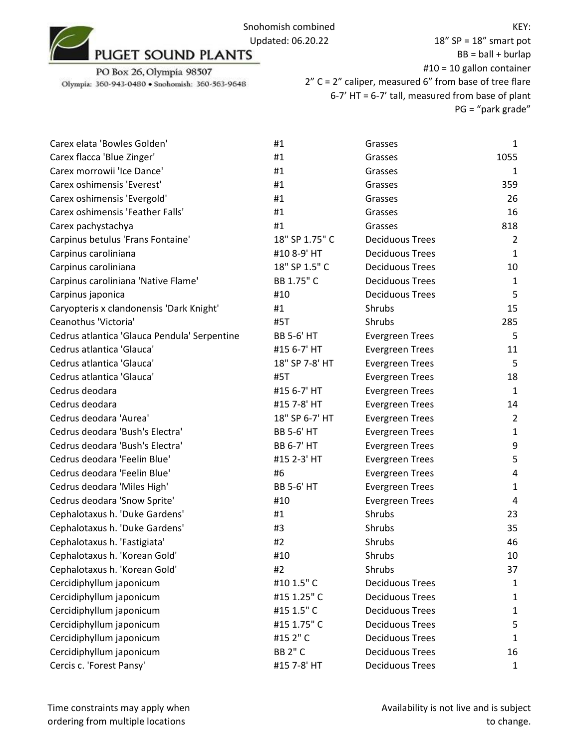

PO Box 26, Olympia 98507 Olympia: 360-943-0480 · Snohomish: 360-563-9648

18" SP = 18" smart pot  $BB = ball + burlap$ #10 = 10 gallon container 2" C = 2" caliper, measured 6" from base of tree flare 6-7' HT = 6-7' tall, measured from base of plant PG = "park grade"

| Carex elata 'Bowles Golden'                  | #1                | Grasses                | $\mathbf{1}$   |
|----------------------------------------------|-------------------|------------------------|----------------|
| Carex flacca 'Blue Zinger'                   | #1                | Grasses                | 1055           |
| Carex morrowii 'Ice Dance'                   | #1                | Grasses                | 1              |
| Carex oshimensis 'Everest'                   | #1                | Grasses                | 359            |
| Carex oshimensis 'Evergold'                  | #1                | Grasses                | 26             |
| Carex oshimensis 'Feather Falls'             | #1                | Grasses                | 16             |
| Carex pachystachya                           | #1                | Grasses                | 818            |
| Carpinus betulus 'Frans Fontaine'            | 18" SP 1.75" C    | <b>Deciduous Trees</b> | $\overline{2}$ |
| Carpinus caroliniana                         | #10 8-9' HT       | <b>Deciduous Trees</b> | 1              |
| Carpinus caroliniana                         | 18" SP 1.5" C     | <b>Deciduous Trees</b> | 10             |
| Carpinus caroliniana 'Native Flame'          | BB 1.75" C        | <b>Deciduous Trees</b> | $\mathbf{1}$   |
| Carpinus japonica                            | #10               | <b>Deciduous Trees</b> | 5              |
| Caryopteris x clandonensis 'Dark Knight'     | #1                | Shrubs                 | 15             |
| Ceanothus 'Victoria'                         | #5T               | Shrubs                 | 285            |
| Cedrus atlantica 'Glauca Pendula' Serpentine | <b>BB 5-6' HT</b> | <b>Evergreen Trees</b> | 5              |
| Cedrus atlantica 'Glauca'                    | #15 6-7' HT       | <b>Evergreen Trees</b> | 11             |
| Cedrus atlantica 'Glauca'                    | 18" SP 7-8' HT    | <b>Evergreen Trees</b> | 5              |
| Cedrus atlantica 'Glauca'                    | #5T               | <b>Evergreen Trees</b> | 18             |
| Cedrus deodara                               | #15 6-7' HT       | <b>Evergreen Trees</b> | $\mathbf{1}$   |
| Cedrus deodara                               | #15 7-8' HT       | <b>Evergreen Trees</b> | 14             |
| Cedrus deodara 'Aurea'                       | 18" SP 6-7' HT    | <b>Evergreen Trees</b> | 2              |
| Cedrus deodara 'Bush's Electra'              | <b>BB 5-6' HT</b> | <b>Evergreen Trees</b> | $\mathbf{1}$   |
| Cedrus deodara 'Bush's Electra'              | <b>BB 6-7' HT</b> | <b>Evergreen Trees</b> | 9              |
| Cedrus deodara 'Feelin Blue'                 | #15 2-3' HT       | <b>Evergreen Trees</b> | 5              |
| Cedrus deodara 'Feelin Blue'                 | #6                | <b>Evergreen Trees</b> | 4              |
| Cedrus deodara 'Miles High'                  | <b>BB 5-6' HT</b> | <b>Evergreen Trees</b> | $\mathbf{1}$   |
| Cedrus deodara 'Snow Sprite'                 | #10               | <b>Evergreen Trees</b> | 4              |
| Cephalotaxus h. 'Duke Gardens'               | #1                | Shrubs                 | 23             |
| Cephalotaxus h. 'Duke Gardens'               | #3                | Shrubs                 | 35             |
| Cephalotaxus h. 'Fastigiata'                 | #2                | Shrubs                 | 46             |
| Cephalotaxus h. 'Korean Gold'                | #10               | Shrubs                 | 10             |
| Cephalotaxus h. 'Korean Gold'                | #2                | Shrubs                 | 37             |
| Cercidiphyllum japonicum                     | #10 1.5" C        | <b>Deciduous Trees</b> | 1              |
| Cercidiphyllum japonicum                     | #15 1.25" C       | <b>Deciduous Trees</b> | $\mathbf{1}$   |
| Cercidiphyllum japonicum                     | #15 1.5" C        | <b>Deciduous Trees</b> | $\mathbf{1}$   |
| Cercidiphyllum japonicum                     | #15 1.75" C       | <b>Deciduous Trees</b> | 5              |
| Cercidiphyllum japonicum                     | #15 2" C          | <b>Deciduous Trees</b> | $\mathbf{1}$   |
| Cercidiphyllum japonicum                     | <b>BB 2" C</b>    | <b>Deciduous Trees</b> | 16             |
| Cercis c. 'Forest Pansy'                     | #15 7-8' HT       | <b>Deciduous Trees</b> | $\mathbf{1}$   |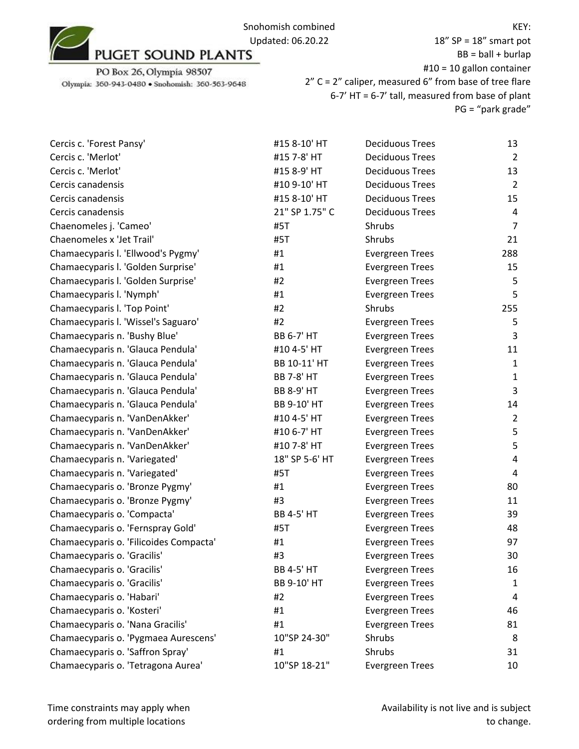

PO Box 26, Olympia 98507 Olympia: 360-943-0480 · Snohomish: 360-563-9648

18" SP = 18" smart pot  $BB = ball + burlap$ #10 = 10 gallon container 2" C = 2" caliper, measured 6" from base of tree flare 6-7' HT = 6-7' tall, measured from base of plant PG = "park grade"

| Cercis c. 'Forest Pansy'               | #15 8-10' HT      | <b>Deciduous Trees</b> | 13             |
|----------------------------------------|-------------------|------------------------|----------------|
| Cercis c. 'Merlot'                     | #15 7-8' HT       | <b>Deciduous Trees</b> | $\overline{2}$ |
| Cercis c. 'Merlot'                     | #15 8-9' HT       | <b>Deciduous Trees</b> | 13             |
| Cercis canadensis                      | #10 9-10' HT      | <b>Deciduous Trees</b> | $\overline{2}$ |
| Cercis canadensis                      | #15 8-10' HT      | <b>Deciduous Trees</b> | 15             |
| Cercis canadensis                      | 21" SP 1.75" C    | <b>Deciduous Trees</b> | 4              |
| Chaenomeles j. 'Cameo'                 | #5T               | Shrubs                 | $\overline{7}$ |
| Chaenomeles x 'Jet Trail'              | #5T               | Shrubs                 | 21             |
| Chamaecyparis I. 'Ellwood's Pygmy'     | #1                | <b>Evergreen Trees</b> | 288            |
| Chamaecyparis I. 'Golden Surprise'     | #1                | <b>Evergreen Trees</b> | 15             |
| Chamaecyparis I. 'Golden Surprise'     | #2                | <b>Evergreen Trees</b> | 5              |
| Chamaecyparis I. 'Nymph'               | #1                | <b>Evergreen Trees</b> | 5              |
| Chamaecyparis I. 'Top Point'           | #2                | Shrubs                 | 255            |
| Chamaecyparis I. 'Wissel's Saguaro'    | #2                | <b>Evergreen Trees</b> | 5              |
| Chamaecyparis n. 'Bushy Blue'          | <b>BB 6-7' HT</b> | <b>Evergreen Trees</b> | 3              |
| Chamaecyparis n. 'Glauca Pendula'      | #10 4-5' HT       | <b>Evergreen Trees</b> | 11             |
| Chamaecyparis n. 'Glauca Pendula'      | BB 10-11' HT      | <b>Evergreen Trees</b> | 1              |
| Chamaecyparis n. 'Glauca Pendula'      | <b>BB 7-8' HT</b> | <b>Evergreen Trees</b> | $\mathbf{1}$   |
| Chamaecyparis n. 'Glauca Pendula'      | <b>BB 8-9' HT</b> | <b>Evergreen Trees</b> | 3              |
| Chamaecyparis n. 'Glauca Pendula'      | BB 9-10' HT       | <b>Evergreen Trees</b> | 14             |
| Chamaecyparis n. 'VanDenAkker'         | #10 4-5' HT       | <b>Evergreen Trees</b> | $\overline{2}$ |
| Chamaecyparis n. 'VanDenAkker'         | #10 6-7' HT       | <b>Evergreen Trees</b> | 5              |
| Chamaecyparis n. 'VanDenAkker'         | #10 7-8' HT       | <b>Evergreen Trees</b> | 5              |
| Chamaecyparis n. 'Variegated'          | 18" SP 5-6' HT    | <b>Evergreen Trees</b> | 4              |
| Chamaecyparis n. 'Variegated'          | #5T               | <b>Evergreen Trees</b> | 4              |
| Chamaecyparis o. 'Bronze Pygmy'        | #1                | <b>Evergreen Trees</b> | 80             |
| Chamaecyparis o. 'Bronze Pygmy'        | #3                | <b>Evergreen Trees</b> | 11             |
| Chamaecyparis o. 'Compacta'            | <b>BB 4-5' HT</b> | <b>Evergreen Trees</b> | 39             |
| Chamaecyparis o. 'Fernspray Gold'      | #5T               | <b>Evergreen Trees</b> | 48             |
| Chamaecyparis o. 'Filicoides Compacta' | #1                | <b>Evergreen Trees</b> | 97             |
| Chamaecyparis o. 'Gracilis'            | #3                | <b>Evergreen Trees</b> | 30             |
| Chamaecyparis o. 'Gracilis'            | <b>BB 4-5' HT</b> | <b>Evergreen Trees</b> | 16             |
| Chamaecyparis o. 'Gracilis'            | BB 9-10' HT       | <b>Evergreen Trees</b> | 1              |
| Chamaecyparis o. 'Habari'              | #2                | <b>Evergreen Trees</b> | 4              |
| Chamaecyparis o. 'Kosteri'             | #1                | <b>Evergreen Trees</b> | 46             |
| Chamaecyparis o. 'Nana Gracilis'       | #1                | <b>Evergreen Trees</b> | 81             |
| Chamaecyparis o. 'Pygmaea Aurescens'   | 10"SP 24-30"      | Shrubs                 | 8              |
| Chamaecyparis o. 'Saffron Spray'       | #1                | Shrubs                 | 31             |
| Chamaecyparis o. 'Tetragona Aurea'     | 10"SP 18-21"      | <b>Evergreen Trees</b> | 10             |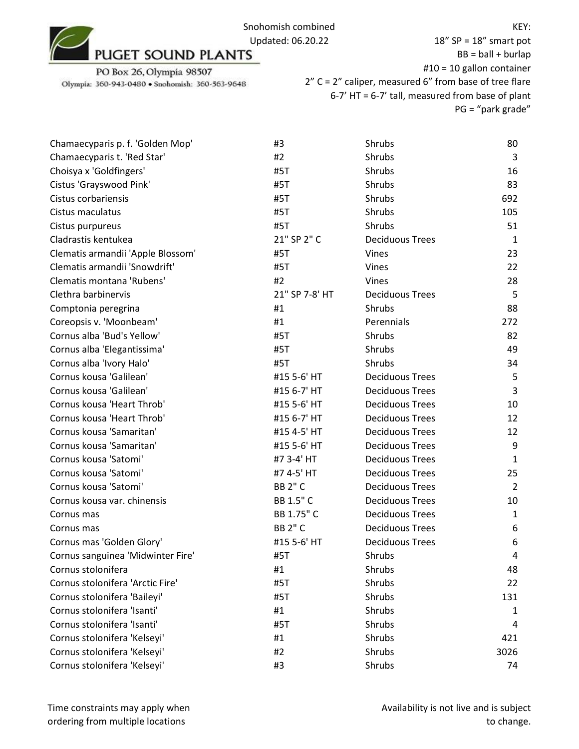

PO Box 26, Olympia 98507 Olympia: 360-943-0480 · Snohomish: 360-563-9648

18" SP = 18" smart pot  $BB = ball + burlap$ #10 = 10 gallon container 2" C = 2" caliper, measured 6" from base of tree flare 6-7' HT = 6-7' tall, measured from base of plant PG = "park grade"

| Chamaecyparis p. f. 'Golden Mop'  | #3             | Shrubs                 | 80             |
|-----------------------------------|----------------|------------------------|----------------|
| Chamaecyparis t. 'Red Star'       | #2             | Shrubs                 | 3              |
| Choisya x 'Goldfingers'           | #5T            | Shrubs                 | 16             |
| Cistus 'Grayswood Pink'           | #5T            | Shrubs                 | 83             |
| Cistus corbariensis               | #5T            | Shrubs                 | 692            |
| Cistus maculatus                  | #5T            | Shrubs                 | 105            |
| Cistus purpureus                  | #5T            | Shrubs                 | 51             |
| Cladrastis kentukea               | 21" SP 2" C    | <b>Deciduous Trees</b> | $\mathbf{1}$   |
| Clematis armandii 'Apple Blossom' | #5T            | Vines                  | 23             |
| Clematis armandii 'Snowdrift'     | #5T            | Vines                  | 22             |
| Clematis montana 'Rubens'         | #2             | Vines                  | 28             |
| Clethra barbinervis               | 21" SP 7-8' HT | <b>Deciduous Trees</b> | 5              |
| Comptonia peregrina               | #1             | Shrubs                 | 88             |
| Coreopsis v. 'Moonbeam'           | #1             | Perennials             | 272            |
| Cornus alba 'Bud's Yellow'        | #5T            | Shrubs                 | 82             |
| Cornus alba 'Elegantissima'       | #5T            | Shrubs                 | 49             |
| Cornus alba 'Ivory Halo'          | #5T            | Shrubs                 | 34             |
| Cornus kousa 'Galilean'           | #15 5-6' HT    | <b>Deciduous Trees</b> | 5              |
| Cornus kousa 'Galilean'           | #15 6-7' HT    | <b>Deciduous Trees</b> | 3              |
| Cornus kousa 'Heart Throb'        | #15 5-6' HT    | <b>Deciduous Trees</b> | 10             |
| Cornus kousa 'Heart Throb'        | #15 6-7' HT    | <b>Deciduous Trees</b> | 12             |
| Cornus kousa 'Samaritan'          | #15 4-5' HT    | <b>Deciduous Trees</b> | 12             |
| Cornus kousa 'Samaritan'          | #15 5-6' HT    | <b>Deciduous Trees</b> | 9              |
| Cornus kousa 'Satomi'             | #7 3-4' HT     | <b>Deciduous Trees</b> | $\mathbf{1}$   |
| Cornus kousa 'Satomi'             | #7 4-5' HT     | <b>Deciduous Trees</b> | 25             |
| Cornus kousa 'Satomi'             | <b>BB 2" C</b> | <b>Deciduous Trees</b> | $\overline{2}$ |
| Cornus kousa var. chinensis       | BB 1.5" C      | <b>Deciduous Trees</b> | 10             |
| Cornus mas                        | BB 1.75" C     | <b>Deciduous Trees</b> | 1              |
| Cornus mas                        | <b>BB 2" C</b> | <b>Deciduous Trees</b> | 6              |
| Cornus mas 'Golden Glory'         | #15 5-6' HT    | <b>Deciduous Trees</b> | 6              |
| Cornus sanguinea 'Midwinter Fire' | #5T            | Shrubs                 | 4              |
| Cornus stolonifera                | #1             | Shrubs                 | 48             |
| Cornus stolonifera 'Arctic Fire'  | #5T            | Shrubs                 | 22             |
| Cornus stolonifera 'Baileyi'      | #5T            | Shrubs                 | 131            |
| Cornus stolonifera 'Isanti'       | #1             | Shrubs                 | 1              |
| Cornus stolonifera 'Isanti'       | #5T            | Shrubs                 | 4              |
| Cornus stolonifera 'Kelseyi'      | #1             | Shrubs                 | 421            |
| Cornus stolonifera 'Kelseyi'      | #2             | Shrubs                 | 3026           |
| Cornus stolonifera 'Kelseyi'      | #3             | Shrubs                 | 74             |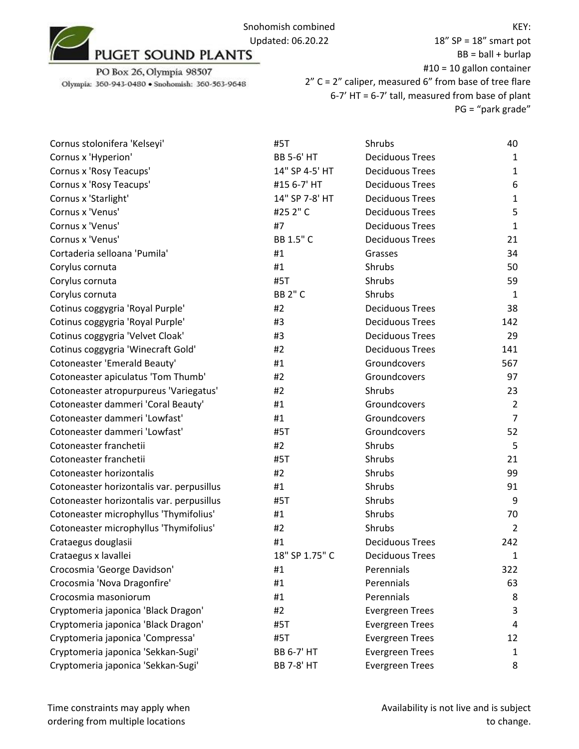

PO Box 26, Olympia 98507 Olympia: 360-943-0480 · Snohomish: 360-563-9648

18" SP = 18" smart pot  $BB = ball + burlap$ #10 = 10 gallon container 2" C = 2" caliper, measured 6" from base of tree flare 6-7' HT = 6-7' tall, measured from base of plant PG = "park grade"

| Cornus stolonifera 'Kelseyi'              | #5T               | Shrubs                 | 40             |
|-------------------------------------------|-------------------|------------------------|----------------|
| Cornus x 'Hyperion'                       | <b>BB 5-6' HT</b> | <b>Deciduous Trees</b> | 1              |
| Cornus x 'Rosy Teacups'                   | 14" SP 4-5' HT    | <b>Deciduous Trees</b> | $\mathbf{1}$   |
| Cornus x 'Rosy Teacups'                   | #15 6-7' HT       | <b>Deciduous Trees</b> | 6              |
| Cornus x 'Starlight'                      | 14" SP 7-8' HT    | <b>Deciduous Trees</b> | $\mathbf{1}$   |
| Cornus x 'Venus'                          | #25 2" C          | <b>Deciduous Trees</b> | 5              |
| Cornus x 'Venus'                          | #7                | <b>Deciduous Trees</b> | $\mathbf{1}$   |
| Cornus x 'Venus'                          | BB 1.5" C         | <b>Deciduous Trees</b> | 21             |
| Cortaderia selloana 'Pumila'              | #1                | Grasses                | 34             |
| Corylus cornuta                           | #1                | Shrubs                 | 50             |
| Corylus cornuta                           | #5T               | Shrubs                 | 59             |
| Corylus cornuta                           | <b>BB 2" C</b>    | Shrubs                 | $\mathbf{1}$   |
| Cotinus coggygria 'Royal Purple'          | #2                | <b>Deciduous Trees</b> | 38             |
| Cotinus coggygria 'Royal Purple'          | #3                | <b>Deciduous Trees</b> | 142            |
| Cotinus coggygria 'Velvet Cloak'          | #3                | <b>Deciduous Trees</b> | 29             |
| Cotinus coggygria 'Winecraft Gold'        | #2                | <b>Deciduous Trees</b> | 141            |
| Cotoneaster 'Emerald Beauty'              | #1                | Groundcovers           | 567            |
| Cotoneaster apiculatus 'Tom Thumb'        | #2                | Groundcovers           | 97             |
| Cotoneaster atropurpureus 'Variegatus'    | #2                | Shrubs                 | 23             |
| Cotoneaster dammeri 'Coral Beauty'        | #1                | Groundcovers           | $\overline{2}$ |
| Cotoneaster dammeri 'Lowfast'             | #1                | Groundcovers           | $\overline{7}$ |
| Cotoneaster dammeri 'Lowfast'             | #5T               | Groundcovers           | 52             |
| Cotoneaster franchetii                    | #2                | Shrubs                 | 5              |
| Cotoneaster franchetii                    | #5T               | Shrubs                 | 21             |
| Cotoneaster horizontalis                  | #2                | Shrubs                 | 99             |
| Cotoneaster horizontalis var. perpusillus | #1                | Shrubs                 | 91             |
| Cotoneaster horizontalis var. perpusillus | #5T               | Shrubs                 | 9              |
| Cotoneaster microphyllus 'Thymifolius'    | #1                | Shrubs                 | 70             |
| Cotoneaster microphyllus 'Thymifolius'    | #2                | Shrubs                 | $\overline{2}$ |
| Crataegus douglasii                       | #1                | <b>Deciduous Trees</b> | 242            |
| Crataegus x lavallei                      | 18" SP 1.75" C    | <b>Deciduous Trees</b> | $\mathbf{1}$   |
| Crocosmia 'George Davidson'               | #1                | Perennials             | 322            |
| Crocosmia 'Nova Dragonfire'               | #1                | Perennials             | 63             |
| Crocosmia masoniorum                      | #1                | Perennials             | 8              |
| Cryptomeria japonica 'Black Dragon'       | #2                | <b>Evergreen Trees</b> | 3              |
| Cryptomeria japonica 'Black Dragon'       | #5T               | <b>Evergreen Trees</b> | 4              |
| Cryptomeria japonica 'Compressa'          | #5T               | <b>Evergreen Trees</b> | 12             |
| Cryptomeria japonica 'Sekkan-Sugi'        | <b>BB 6-7' HT</b> | <b>Evergreen Trees</b> | 1              |
| Cryptomeria japonica 'Sekkan-Sugi'        | <b>BB 7-8' HT</b> | <b>Evergreen Trees</b> | 8              |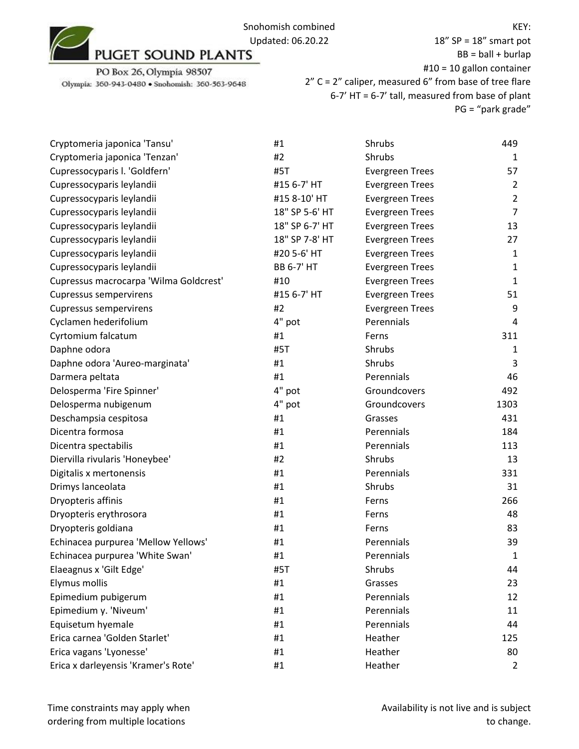

PO Box 26, Olympia 98507 Olympia: 360-943-0480 · Snohomish: 360-563-9648

18" SP = 18" smart pot  $BB = ball + burlap$ #10 = 10 gallon container 2" C = 2" caliper, measured 6" from base of tree flare 6-7' HT = 6-7' tall, measured from base of plant PG = "park grade"

| Cryptomeria japonica 'Tansu'           | #1                | Shrubs                 | 449            |
|----------------------------------------|-------------------|------------------------|----------------|
| Cryptomeria japonica 'Tenzan'          | #2                | <b>Shrubs</b>          | 1              |
| Cupressocyparis I. 'Goldfern'          | #5T               | <b>Evergreen Trees</b> | 57             |
| Cupressocyparis leylandii              | #15 6-7' HT       | <b>Evergreen Trees</b> | $\overline{2}$ |
| Cupressocyparis leylandii              | #15 8-10' HT      | <b>Evergreen Trees</b> | $\overline{2}$ |
| Cupressocyparis leylandii              | 18" SP 5-6' HT    | <b>Evergreen Trees</b> | $\overline{7}$ |
| Cupressocyparis leylandii              | 18" SP 6-7' HT    | <b>Evergreen Trees</b> | 13             |
| Cupressocyparis leylandii              | 18" SP 7-8' HT    | <b>Evergreen Trees</b> | 27             |
| Cupressocyparis leylandii              | #20 5-6' HT       | <b>Evergreen Trees</b> | $\mathbf{1}$   |
| Cupressocyparis leylandii              | <b>BB 6-7' HT</b> | <b>Evergreen Trees</b> | $\mathbf{1}$   |
| Cupressus macrocarpa 'Wilma Goldcrest' | #10               | <b>Evergreen Trees</b> | $\mathbf{1}$   |
| <b>Cupressus sempervirens</b>          | #15 6-7' HT       | <b>Evergreen Trees</b> | 51             |
| <b>Cupressus sempervirens</b>          | #2                | <b>Evergreen Trees</b> | 9              |
| Cyclamen hederifolium                  | 4" pot            | Perennials             | 4              |
| Cyrtomium falcatum                     | #1                | Ferns                  | 311            |
| Daphne odora                           | #5T               | Shrubs                 | 1              |
| Daphne odora 'Aureo-marginata'         | #1                | Shrubs                 | 3              |
| Darmera peltata                        | #1                | Perennials             | 46             |
| Delosperma 'Fire Spinner'              | 4" pot            | Groundcovers           | 492            |
| Delosperma nubigenum                   | 4" pot            | Groundcovers           | 1303           |
| Deschampsia cespitosa                  | #1                | Grasses                | 431            |
| Dicentra formosa                       | #1                | Perennials             | 184            |
| Dicentra spectabilis                   | #1                | Perennials             | 113            |
| Diervilla rivularis 'Honeybee'         | #2                | Shrubs                 | 13             |
| Digitalis x mertonensis                | #1                | Perennials             | 331            |
| Drimys lanceolata                      | #1                | Shrubs                 | 31             |
| Dryopteris affinis                     | #1                | Ferns                  | 266            |
| Dryopteris erythrosora                 | #1                | Ferns                  | 48             |
| Dryopteris goldiana                    | #1                | Ferns                  | 83             |
| Echinacea purpurea 'Mellow Yellows'    | #1                | Perennials             | 39             |
| Echinacea purpurea 'White Swan'        | #1                | Perennials             | $\mathbf{1}$   |
| Elaeagnus x 'Gilt Edge'                | #5T               | Shrubs                 | 44             |
| Elymus mollis                          | #1                | Grasses                | 23             |
| Epimedium pubigerum                    | #1                | Perennials             | 12             |
| Epimedium y. 'Niveum'                  | #1                | Perennials             | 11             |
| Equisetum hyemale                      | #1                | Perennials             | 44             |
| Erica carnea 'Golden Starlet'          | #1                | Heather                | 125            |
| Erica vagans 'Lyonesse'                | #1                | Heather                | 80             |
| Erica x darleyensis 'Kramer's Rote'    | #1                | Heather                | $\overline{2}$ |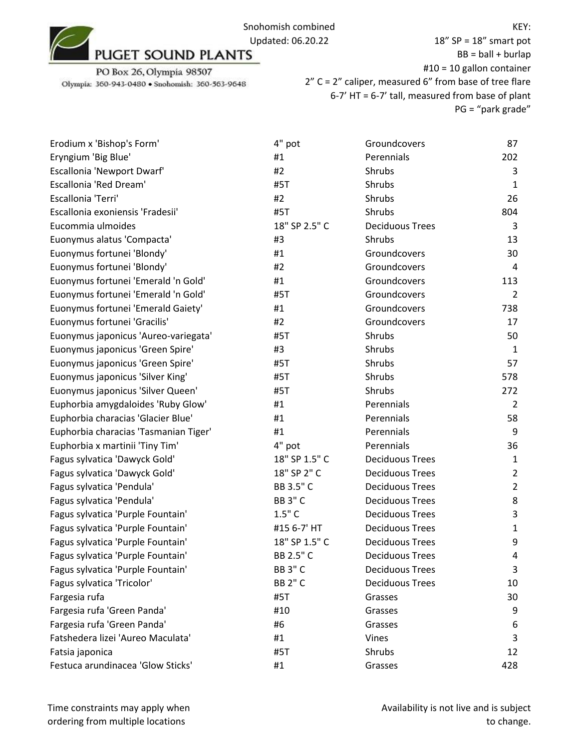

PO Box 26, Olympia 98507 Olympia: 360-943-0480 · Snohomish: 360-563-9648

| Erodium x 'Bishop's Form'             | 4" pot         | Groundcovers           | 87             |
|---------------------------------------|----------------|------------------------|----------------|
| Eryngium 'Big Blue'                   | #1             | Perennials             | 202            |
| Escallonia 'Newport Dwarf'            | #2             | Shrubs                 | 3              |
| Escallonia 'Red Dream'                | #5T            | Shrubs                 | $\mathbf{1}$   |
| Escallonia 'Terri'                    | #2             | Shrubs                 | 26             |
| Escallonia exoniensis 'Fradesii'      | #5T            | Shrubs                 | 804            |
| Eucommia ulmoides                     | 18" SP 2.5" C  | <b>Deciduous Trees</b> | 3              |
| Euonymus alatus 'Compacta'            | #3             | Shrubs                 | 13             |
| Euonymus fortunei 'Blondy'            | #1             | Groundcovers           | 30             |
| Euonymus fortunei 'Blondy'            | #2             | Groundcovers           | 4              |
| Euonymus fortunei 'Emerald 'n Gold'   | #1             | Groundcovers           | 113            |
| Euonymus fortunei 'Emerald 'n Gold'   | #5T            | Groundcovers           | $\overline{2}$ |
| Euonymus fortunei 'Emerald Gaiety'    | #1             | Groundcovers           | 738            |
| Euonymus fortunei 'Gracilis'          | #2             | Groundcovers           | 17             |
| Euonymus japonicus 'Aureo-variegata'  | #5T            | Shrubs                 | 50             |
| Euonymus japonicus 'Green Spire'      | #3             | Shrubs                 | $\mathbf{1}$   |
| Euonymus japonicus 'Green Spire'      | #5T            | Shrubs                 | 57             |
| Euonymus japonicus 'Silver King'      | #5T            | Shrubs                 | 578            |
| Euonymus japonicus 'Silver Queen'     | #5T            | Shrubs                 | 272            |
| Euphorbia amygdaloides 'Ruby Glow'    | #1             | Perennials             | 2              |
| Euphorbia characias 'Glacier Blue'    | #1             | Perennials             | 58             |
| Euphorbia characias 'Tasmanian Tiger' | #1             | Perennials             | 9              |
| Euphorbia x martinii 'Tiny Tim'       | 4" pot         | Perennials             | 36             |
| Fagus sylvatica 'Dawyck Gold'         | 18" SP 1.5" C  | <b>Deciduous Trees</b> | $\mathbf{1}$   |
| Fagus sylvatica 'Dawyck Gold'         | 18" SP 2" C    | <b>Deciduous Trees</b> | $\overline{2}$ |
| Fagus sylvatica 'Pendula'             | BB 3.5" C      | <b>Deciduous Trees</b> | $\overline{2}$ |
| Fagus sylvatica 'Pendula'             | <b>BB 3" C</b> | <b>Deciduous Trees</b> | 8              |
| Fagus sylvatica 'Purple Fountain'     | $1.5"$ C       | <b>Deciduous Trees</b> | 3              |
| Fagus sylvatica 'Purple Fountain'     | #15 6-7' HT    | <b>Deciduous Trees</b> | $\mathbf{1}$   |
| Fagus sylvatica 'Purple Fountain'     | 18" SP 1.5" C  | <b>Deciduous Trees</b> | 9              |
| Fagus sylvatica 'Purple Fountain'     | BB 2.5" C      | <b>Deciduous Trees</b> | 4              |
| Fagus sylvatica 'Purple Fountain'     | <b>BB 3" C</b> | <b>Deciduous Trees</b> | 3              |
| Fagus sylvatica 'Tricolor'            | <b>BB 2" C</b> | <b>Deciduous Trees</b> | 10             |
| Fargesia rufa                         | #5T            | Grasses                | 30             |
| Fargesia rufa 'Green Panda'           | #10            | Grasses                | 9              |
| Fargesia rufa 'Green Panda'           | #6             | Grasses                | 6              |
| Fatshedera lizei 'Aureo Maculata'     | #1             | Vines                  | 3              |
| Fatsia japonica                       | #5T            | Shrubs                 | 12             |
| Festuca arundinacea 'Glow Sticks'     | #1             | Grasses                | 428            |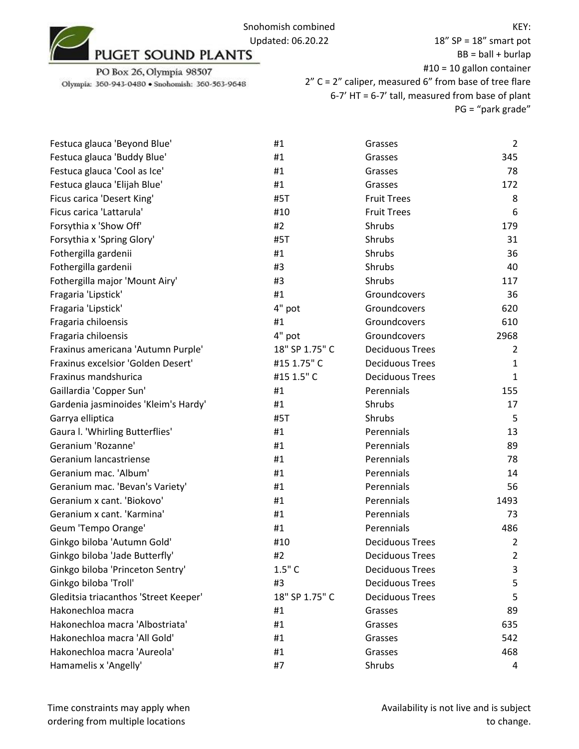

PO Box 26, Olympia 98507 Olympia: 360-943-0480 · Snohomish: 360-563-9648

18" SP = 18" smart pot  $BB = ball + burlap$ #10 = 10 gallon container 2" C = 2" caliper, measured 6" from base of tree flare 6-7' HT = 6-7' tall, measured from base of plant PG = "park grade"

| Festuca glauca 'Beyond Blue'          | #1             | Grasses                | $\overline{2}$ |
|---------------------------------------|----------------|------------------------|----------------|
| Festuca glauca 'Buddy Blue'           | #1             | Grasses                | 345            |
| Festuca glauca 'Cool as Ice'          | #1             | Grasses                | 78             |
| Festuca glauca 'Elijah Blue'          | #1             | Grasses                | 172            |
| Ficus carica 'Desert King'            | #5T            | <b>Fruit Trees</b>     | 8              |
| Ficus carica 'Lattarula'              | #10            | <b>Fruit Trees</b>     | 6              |
| Forsythia x 'Show Off'                | #2             | Shrubs                 | 179            |
| Forsythia x 'Spring Glory'            | #5T            | Shrubs                 | 31             |
| Fothergilla gardenii                  | #1             | Shrubs                 | 36             |
| Fothergilla gardenii                  | #3             | Shrubs                 | 40             |
| Fothergilla major 'Mount Airy'        | #3             | Shrubs                 | 117            |
| Fragaria 'Lipstick'                   | #1             | Groundcovers           | 36             |
| Fragaria 'Lipstick'                   | 4" pot         | Groundcovers           | 620            |
| Fragaria chiloensis                   | #1             | Groundcovers           | 610            |
| Fragaria chiloensis                   | 4" pot         | Groundcovers           | 2968           |
| Fraxinus americana 'Autumn Purple'    | 18" SP 1.75" C | <b>Deciduous Trees</b> | 2              |
| Fraxinus excelsior 'Golden Desert'    | #15 1.75" C    | <b>Deciduous Trees</b> | 1              |
| Fraxinus mandshurica                  | #15 1.5" C     | <b>Deciduous Trees</b> | $\mathbf{1}$   |
| Gaillardia 'Copper Sun'               | #1             | Perennials             | 155            |
| Gardenia jasminoides 'Kleim's Hardy'  | #1             | <b>Shrubs</b>          | 17             |
| Garrya elliptica                      | #5T            | Shrubs                 | 5              |
| Gaura I. 'Whirling Butterflies'       | #1             | Perennials             | 13             |
| Geranium 'Rozanne'                    | #1             | Perennials             | 89             |
| Geranium lancastriense                | #1             | Perennials             | 78             |
| Geranium mac. 'Album'                 | #1             | Perennials             | 14             |
| Geranium mac. 'Bevan's Variety'       | #1             | Perennials             | 56             |
| Geranium x cant. 'Biokovo'            | #1             | Perennials             | 1493           |
| Geranium x cant. 'Karmina'            | #1             | Perennials             | 73             |
| Geum 'Tempo Orange'                   | #1             | Perennials             | 486            |
| Ginkgo biloba 'Autumn Gold'           | #10            | <b>Deciduous Trees</b> | $\overline{2}$ |
| Ginkgo biloba 'Jade Butterfly'        | #2             | <b>Deciduous Trees</b> | $\overline{2}$ |
| Ginkgo biloba 'Princeton Sentry'      | $1.5"$ C       | <b>Deciduous Trees</b> | 3              |
| Ginkgo biloba 'Troll'                 | #3             | <b>Deciduous Trees</b> | 5              |
| Gleditsia triacanthos 'Street Keeper' | 18" SP 1.75" C | <b>Deciduous Trees</b> | 5              |
| Hakonechloa macra                     | #1             | Grasses                | 89             |
| Hakonechloa macra 'Albostriata'       | #1             | Grasses                | 635            |
| Hakonechloa macra 'All Gold'          | #1             | Grasses                | 542            |
| Hakonechloa macra 'Aureola'           | #1             | Grasses                | 468            |
| Hamamelis x 'Angelly'                 | #7             | Shrubs                 | 4              |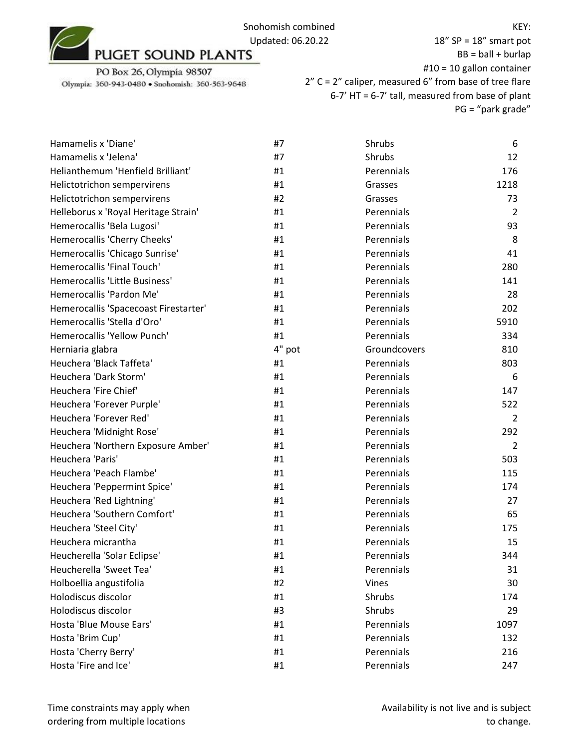

PO Box 26, Olympia 98507 Olympia: 360-943-0480 · Snohomish: 360-563-9648

| Hamamelis x 'Diane'                   | #7     | Shrubs       | 6              |
|---------------------------------------|--------|--------------|----------------|
| Hamamelis x 'Jelena'                  | #7     | Shrubs       | 12             |
| Helianthemum 'Henfield Brilliant'     | #1     | Perennials   | 176            |
| Helictotrichon sempervirens           | #1     | Grasses      | 1218           |
| Helictotrichon sempervirens           | #2     | Grasses      | 73             |
| Helleborus x 'Royal Heritage Strain'  | #1     | Perennials   | $\overline{2}$ |
| Hemerocallis 'Bela Lugosi'            | #1     | Perennials   | 93             |
| Hemerocallis 'Cherry Cheeks'          | #1     | Perennials   | 8              |
| Hemerocallis 'Chicago Sunrise'        | #1     | Perennials   | 41             |
| Hemerocallis 'Final Touch'            | #1     | Perennials   | 280            |
| Hemerocallis 'Little Business'        | #1     | Perennials   | 141            |
| Hemerocallis 'Pardon Me'              | #1     | Perennials   | 28             |
| Hemerocallis 'Spacecoast Firestarter' | #1     | Perennials   | 202            |
| Hemerocallis 'Stella d'Oro'           | #1     | Perennials   | 5910           |
| Hemerocallis 'Yellow Punch'           | #1     | Perennials   | 334            |
| Herniaria glabra                      | 4" pot | Groundcovers | 810            |
| Heuchera 'Black Taffeta'              | #1     | Perennials   | 803            |
| Heuchera 'Dark Storm'                 | #1     | Perennials   | 6              |
| Heuchera 'Fire Chief'                 | #1     | Perennials   | 147            |
| Heuchera 'Forever Purple'             | #1     | Perennials   | 522            |
| Heuchera 'Forever Red'                | #1     | Perennials   | 2              |
| Heuchera 'Midnight Rose'              | #1     | Perennials   | 292            |
| Heuchera 'Northern Exposure Amber'    | #1     | Perennials   | $\overline{2}$ |
| Heuchera 'Paris'                      | #1     | Perennials   | 503            |
| Heuchera 'Peach Flambe'               | #1     | Perennials   | 115            |
| Heuchera 'Peppermint Spice'           | #1     | Perennials   | 174            |
| Heuchera 'Red Lightning'              | #1     | Perennials   | 27             |
| Heuchera 'Southern Comfort'           | #1     | Perennials   | 65             |
| Heuchera 'Steel City'                 | #1     | Perennials   | 175            |
| Heuchera micrantha                    | #1     | Perennials   | 15             |
| Heucherella 'Solar Eclipse'           | #1     | Perennials   | 344            |
| Heucherella 'Sweet Tea'               | #1     | Perennials   | 31             |
| Holboellia angustifolia               | #2     | Vines        | 30             |
| Holodiscus discolor                   | #1     | Shrubs       | 174            |
| Holodiscus discolor                   | #3     | Shrubs       | 29             |
| Hosta 'Blue Mouse Ears'               | #1     | Perennials   | 1097           |
| Hosta 'Brim Cup'                      | #1     | Perennials   | 132            |
| Hosta 'Cherry Berry'                  | #1     | Perennials   | 216            |
| Hosta 'Fire and Ice'                  | #1     | Perennials   | 247            |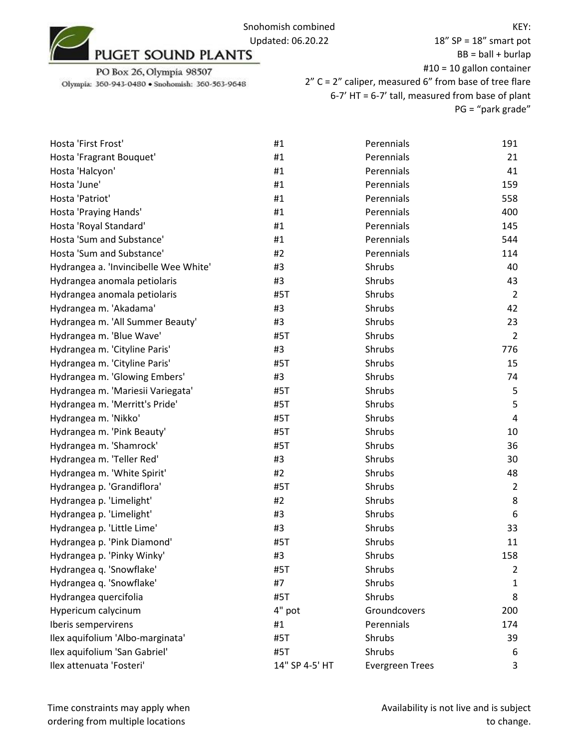

PO Box 26, Olympia 98507 Olympia: 360-943-0480 · Snohomish: 360-563-9648

| Hosta 'First Frost'                   | #1             | Perennials             | 191              |
|---------------------------------------|----------------|------------------------|------------------|
| Hosta 'Fragrant Bouquet'              | #1             | Perennials             | 21               |
| Hosta 'Halcyon'                       | #1             | Perennials             | 41               |
| Hosta 'June'                          | #1             | Perennials             | 159              |
| Hosta 'Patriot'                       | #1             | Perennials             | 558              |
| Hosta 'Praying Hands'                 | #1             | Perennials             | 400              |
| Hosta 'Royal Standard'                | #1             | Perennials             | 145              |
| Hosta 'Sum and Substance'             | #1             | Perennials             | 544              |
| Hosta 'Sum and Substance'             | #2             | Perennials             | 114              |
| Hydrangea a. 'Invincibelle Wee White' | #3             | Shrubs                 | 40               |
| Hydrangea anomala petiolaris          | #3             | Shrubs                 | 43               |
| Hydrangea anomala petiolaris          | #5T            | Shrubs                 | 2                |
| Hydrangea m. 'Akadama'                | #3             | Shrubs                 | 42               |
| Hydrangea m. 'All Summer Beauty'      | #3             | Shrubs                 | 23               |
| Hydrangea m. 'Blue Wave'              | #5T            | Shrubs                 | $\overline{2}$   |
| Hydrangea m. 'Cityline Paris'         | #3             | Shrubs                 | 776              |
| Hydrangea m. 'Cityline Paris'         | #5T            | Shrubs                 | 15               |
| Hydrangea m. 'Glowing Embers'         | #3             | Shrubs                 | 74               |
| Hydrangea m. 'Mariesii Variegata'     | #5T            | Shrubs                 | 5                |
| Hydrangea m. 'Merritt's Pride'        | #5T            | Shrubs                 | 5                |
| Hydrangea m. 'Nikko'                  | #5T            | Shrubs                 | $\overline{4}$   |
| Hydrangea m. 'Pink Beauty'            | #5T            | Shrubs                 | 10               |
| Hydrangea m. 'Shamrock'               | #5T            | Shrubs                 | 36               |
| Hydrangea m. 'Teller Red'             | #3             | Shrubs                 | 30               |
| Hydrangea m. 'White Spirit'           | #2             | Shrubs                 | 48               |
| Hydrangea p. 'Grandiflora'            | #5T            | Shrubs                 | $\overline{2}$   |
| Hydrangea p. 'Limelight'              | #2             | Shrubs                 | 8                |
| Hydrangea p. 'Limelight'              | #3             | Shrubs                 | $\boldsymbol{6}$ |
| Hydrangea p. 'Little Lime'            | #3             | Shrubs                 | 33               |
| Hydrangea p. 'Pink Diamond'           | #5T            | Shrubs                 | 11               |
| Hydrangea p. 'Pinky Winky'            | #3             | Shrubs                 | 158              |
| Hydrangea q. 'Snowflake'              | #5T            | Shrubs                 | $\overline{2}$   |
| Hydrangea q. 'Snowflake'              | #7             | Shrubs                 | 1                |
| Hydrangea quercifolia                 | #5T            | Shrubs                 | 8                |
| Hypericum calycinum                   | 4" pot         | Groundcovers           | 200              |
| Iberis sempervirens                   | #1             | Perennials             | 174              |
| Ilex aquifolium 'Albo-marginata'      | #5T            | Shrubs                 | 39               |
| Ilex aquifolium 'San Gabriel'         | #5T            | Shrubs                 | 6                |
| Ilex attenuata 'Fosteri'              | 14" SP 4-5' HT | <b>Evergreen Trees</b> | 3                |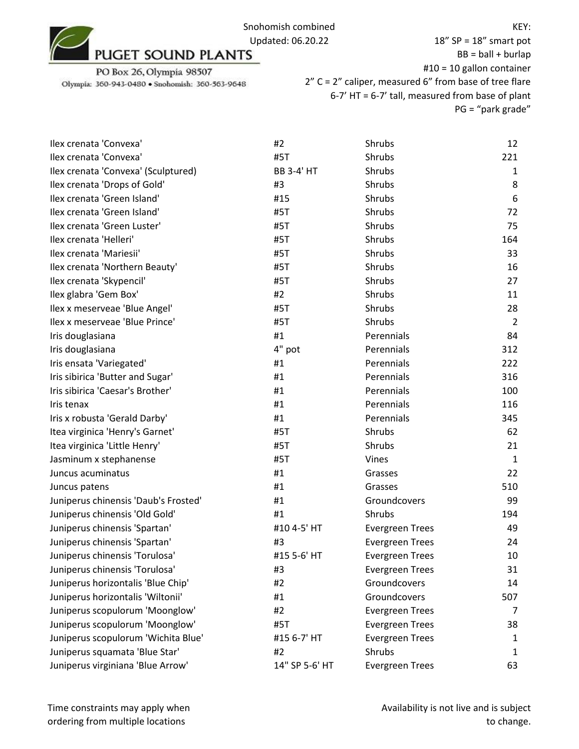

PO Box 26, Olympia 98507 Olympia: 360-943-0480 · Snohomish: 360-563-9648

18" SP = 18" smart pot  $BB = ball + burlap$ #10 = 10 gallon container 2" C = 2" caliper, measured 6" from base of tree flare 6-7' HT = 6-7' tall, measured from base of plant PG = "park grade"

| Ilex crenata 'Convexa'               | #2                | Shrubs                 | 12             |
|--------------------------------------|-------------------|------------------------|----------------|
| Ilex crenata 'Convexa'               | #5T               | Shrubs                 | 221            |
| Ilex crenata 'Convexa' (Sculptured)  | <b>BB 3-4' HT</b> | Shrubs                 | 1              |
| Ilex crenata 'Drops of Gold'         | #3                | Shrubs                 | 8              |
| Ilex crenata 'Green Island'          | #15               | Shrubs                 | 6              |
| Ilex crenata 'Green Island'          | #5T               | Shrubs                 | 72             |
| Ilex crenata 'Green Luster'          | #5T               | Shrubs                 | 75             |
| Ilex crenata 'Helleri'               | #5T               | Shrubs                 | 164            |
| Ilex crenata 'Mariesii'              | #5T               | Shrubs                 | 33             |
| Ilex crenata 'Northern Beauty'       | #5T               | Shrubs                 | 16             |
| Ilex crenata 'Skypencil'             | #5T               | Shrubs                 | 27             |
| Ilex glabra 'Gem Box'                | #2                | Shrubs                 | 11             |
| Ilex x meserveae 'Blue Angel'        | #5T               | Shrubs                 | 28             |
| Ilex x meserveae 'Blue Prince'       | #5T               | Shrubs                 | $\overline{2}$ |
| Iris douglasiana                     | #1                | Perennials             | 84             |
| Iris douglasiana                     | 4" pot            | Perennials             | 312            |
| Iris ensata 'Variegated'             | #1                | Perennials             | 222            |
| Iris sibirica 'Butter and Sugar'     | #1                | Perennials             | 316            |
| Iris sibirica 'Caesar's Brother'     | #1                | Perennials             | 100            |
| Iris tenax                           | #1                | Perennials             | 116            |
| Iris x robusta 'Gerald Darby'        | #1                | Perennials             | 345            |
| Itea virginica 'Henry's Garnet'      | #5T               | Shrubs                 | 62             |
| Itea virginica 'Little Henry'        | #5T               | Shrubs                 | 21             |
| Jasminum x stephanense               | #5T               | Vines                  | $\mathbf{1}$   |
| Juncus acuminatus                    | #1                | Grasses                | 22             |
| Juncus patens                        | #1                | Grasses                | 510            |
| Juniperus chinensis 'Daub's Frosted' | #1                | Groundcovers           | 99             |
| Juniperus chinensis 'Old Gold'       | #1                | Shrubs                 | 194            |
| Juniperus chinensis 'Spartan'        | #10 4-5' HT       | <b>Evergreen Trees</b> | 49             |
| Juniperus chinensis 'Spartan'        | #3                | <b>Evergreen Trees</b> | 24             |
| Juniperus chinensis 'Torulosa'       | #15 5-6' HT       | <b>Evergreen Trees</b> | 10             |
| Juniperus chinensis 'Torulosa'       | #3                | <b>Evergreen Trees</b> | 31             |
| Juniperus horizontalis 'Blue Chip'   | #2                | Groundcovers           | 14             |
| Juniperus horizontalis 'Wiltonii'    | #1                | Groundcovers           | 507            |
| Juniperus scopulorum 'Moonglow'      | #2                | <b>Evergreen Trees</b> | 7              |
| Juniperus scopulorum 'Moonglow'      | #5T               | <b>Evergreen Trees</b> | 38             |
| Juniperus scopulorum 'Wichita Blue'  | #15 6-7' HT       | <b>Evergreen Trees</b> | 1              |
| Juniperus squamata 'Blue Star'       | #2                | Shrubs                 | 1              |
| Juniperus virginiana 'Blue Arrow'    | 14" SP 5-6' HT    | <b>Evergreen Trees</b> | 63             |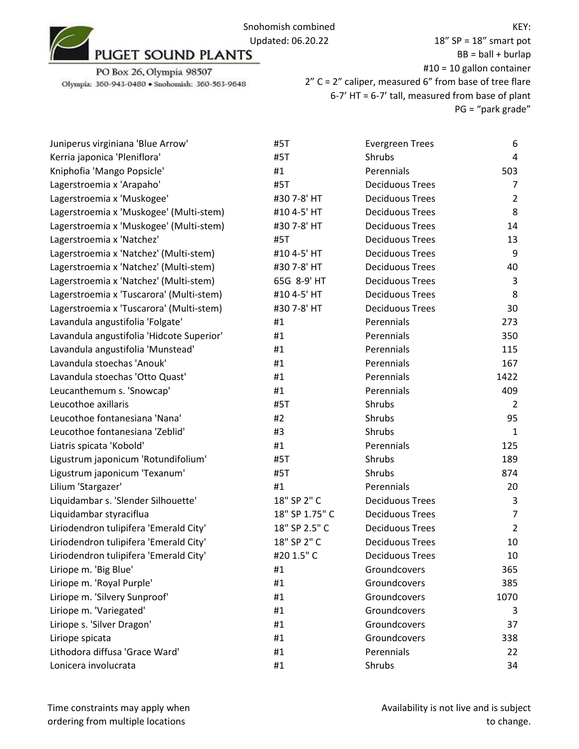

PO Box 26, Olympia 98507 Olympia: 360-943-0480 · Snohomish: 360-563-9648

| Juniperus virginiana 'Blue Arrow'         | #5T            | <b>Evergreen Trees</b> | 6              |
|-------------------------------------------|----------------|------------------------|----------------|
| Kerria japonica 'Pleniflora'              | #5T            | Shrubs                 | 4              |
| Kniphofia 'Mango Popsicle'                | #1             | Perennials             | 503            |
| Lagerstroemia x 'Arapaho'                 | #5T            | <b>Deciduous Trees</b> | $\overline{7}$ |
| Lagerstroemia x 'Muskogee'                | #30 7-8' HT    | <b>Deciduous Trees</b> | $\overline{2}$ |
| Lagerstroemia x 'Muskogee' (Multi-stem)   | #10 4-5' HT    | <b>Deciduous Trees</b> | 8              |
| Lagerstroemia x 'Muskogee' (Multi-stem)   | #30 7-8' HT    | <b>Deciduous Trees</b> | 14             |
| Lagerstroemia x 'Natchez'                 | #5T            | <b>Deciduous Trees</b> | 13             |
| Lagerstroemia x 'Natchez' (Multi-stem)    | #10 4-5' HT    | <b>Deciduous Trees</b> | 9              |
| Lagerstroemia x 'Natchez' (Multi-stem)    | #30 7-8' HT    | <b>Deciduous Trees</b> | 40             |
| Lagerstroemia x 'Natchez' (Multi-stem)    | 65G 8-9' HT    | <b>Deciduous Trees</b> | 3              |
| Lagerstroemia x 'Tuscarora' (Multi-stem)  | #10 4-5' HT    | <b>Deciduous Trees</b> | 8              |
| Lagerstroemia x 'Tuscarora' (Multi-stem)  | #30 7-8' HT    | <b>Deciduous Trees</b> | 30             |
| Lavandula angustifolia 'Folgate'          | #1             | Perennials             | 273            |
| Lavandula angustifolia 'Hidcote Superior' | #1             | Perennials             | 350            |
| Lavandula angustifolia 'Munstead'         | #1             | Perennials             | 115            |
| Lavandula stoechas 'Anouk'                | #1             | Perennials             | 167            |
| Lavandula stoechas 'Otto Quast'           | #1             | Perennials             | 1422           |
| Leucanthemum s. 'Snowcap'                 | #1             | Perennials             | 409            |
| Leucothoe axillaris                       | #5T            | Shrubs                 | 2              |
| Leucothoe fontanesiana 'Nana'             | #2             | Shrubs                 | 95             |
| Leucothoe fontanesiana 'Zeblid'           | #3             | Shrubs                 | $\mathbf{1}$   |
| Liatris spicata 'Kobold'                  | #1             | Perennials             | 125            |
| Ligustrum japonicum 'Rotundifolium'       | #5T            | Shrubs                 | 189            |
| Ligustrum japonicum 'Texanum'             | #5T            | Shrubs                 | 874            |
| Lilium 'Stargazer'                        | #1             | Perennials             | 20             |
| Liquidambar s. 'Slender Silhouette'       | 18" SP 2" C    | <b>Deciduous Trees</b> | 3              |
| Liquidambar styraciflua                   | 18" SP 1.75" C | <b>Deciduous Trees</b> | $\overline{7}$ |
| Liriodendron tulipifera 'Emerald City'    | 18" SP 2.5" C  | <b>Deciduous Trees</b> | $\overline{2}$ |
| Liriodendron tulipifera 'Emerald City'    | 18" SP 2" C    | <b>Deciduous Trees</b> | 10             |
| Liriodendron tulipifera 'Emerald City'    | #20 1.5" C     | <b>Deciduous Trees</b> | 10             |
| Liriope m. 'Big Blue'                     | #1             | Groundcovers           | 365            |
| Liriope m. 'Royal Purple'                 | #1             | Groundcovers           | 385            |
| Liriope m. 'Silvery Sunproof'             | #1             | Groundcovers           | 1070           |
| Liriope m. 'Variegated'                   | #1             | Groundcovers           | 3              |
| Liriope s. 'Silver Dragon'                | #1             | Groundcovers           | 37             |
| Liriope spicata                           | #1             | Groundcovers           | 338            |
| Lithodora diffusa 'Grace Ward'            | #1             | Perennials             | 22             |
| Lonicera involucrata                      | #1             | Shrubs                 | 34             |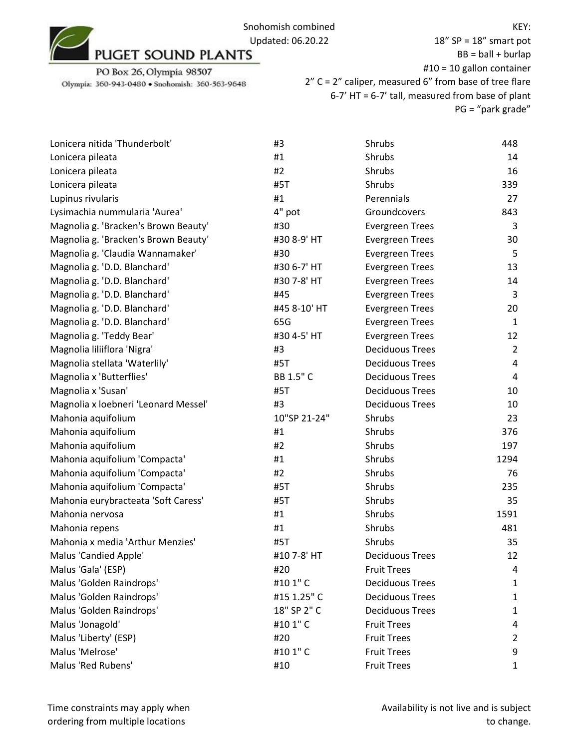

PO Box 26, Olympia 98507 Olympia: 360-943-0480 · Snohomish: 360-563-9648

18" SP = 18" smart pot  $BB = ball + burlap$ #10 = 10 gallon container 2" C = 2" caliper, measured 6" from base of tree flare 6-7' HT = 6-7' tall, measured from base of plant PG = "park grade"

| Lonicera nitida 'Thunderbolt'        | #3           | Shrubs                 | 448            |
|--------------------------------------|--------------|------------------------|----------------|
| Lonicera pileata                     | #1           | Shrubs                 | 14             |
| Lonicera pileata                     | #2           | Shrubs                 | 16             |
| Lonicera pileata                     | #5T          | Shrubs                 | 339            |
| Lupinus rivularis                    | #1           | Perennials             | 27             |
| Lysimachia nummularia 'Aurea'        | 4" pot       | Groundcovers           | 843            |
| Magnolia g. 'Bracken's Brown Beauty' | #30          | <b>Evergreen Trees</b> | 3              |
| Magnolia g. 'Bracken's Brown Beauty' | #30 8-9' HT  | <b>Evergreen Trees</b> | 30             |
| Magnolia g. 'Claudia Wannamaker'     | #30          | <b>Evergreen Trees</b> | 5              |
| Magnolia g. 'D.D. Blanchard'         | #30 6-7' HT  | <b>Evergreen Trees</b> | 13             |
| Magnolia g. 'D.D. Blanchard'         | #30 7-8' HT  | <b>Evergreen Trees</b> | 14             |
| Magnolia g. 'D.D. Blanchard'         | #45          | <b>Evergreen Trees</b> | 3              |
| Magnolia g. 'D.D. Blanchard'         | #45 8-10' HT | <b>Evergreen Trees</b> | 20             |
| Magnolia g. 'D.D. Blanchard'         | 65G          | <b>Evergreen Trees</b> | $\mathbf{1}$   |
| Magnolia g. 'Teddy Bear'             | #30 4-5' HT  | <b>Evergreen Trees</b> | 12             |
| Magnolia liliiflora 'Nigra'          | #3           | <b>Deciduous Trees</b> | $\overline{2}$ |
| Magnolia stellata 'Waterlily'        | #5T          | <b>Deciduous Trees</b> | 4              |
| Magnolia x 'Butterflies'             | BB 1.5" C    | <b>Deciduous Trees</b> | 4              |
| Magnolia x 'Susan'                   | #5T          | <b>Deciduous Trees</b> | 10             |
| Magnolia x loebneri 'Leonard Messel' | #3           | <b>Deciduous Trees</b> | 10             |
| Mahonia aquifolium                   | 10"SP 21-24" | Shrubs                 | 23             |
| Mahonia aquifolium                   | #1           | Shrubs                 | 376            |
| Mahonia aquifolium                   | #2           | Shrubs                 | 197            |
| Mahonia aquifolium 'Compacta'        | #1           | Shrubs                 | 1294           |
| Mahonia aquifolium 'Compacta'        | #2           | Shrubs                 | 76             |
| Mahonia aquifolium 'Compacta'        | #5T          | Shrubs                 | 235            |
| Mahonia eurybracteata 'Soft Caress'  | #5T          | Shrubs                 | 35             |
| Mahonia nervosa                      | #1           | Shrubs                 | 1591           |
| Mahonia repens                       | #1           | Shrubs                 | 481            |
| Mahonia x media 'Arthur Menzies'     | #5T          | Shrubs                 | 35             |
| Malus 'Candied Apple'                | #10 7-8' HT  | <b>Deciduous Trees</b> | 12             |
| Malus 'Gala' (ESP)                   | #20          | <b>Fruit Trees</b>     | 4              |
| Malus 'Golden Raindrops'             | #10 1" C     | <b>Deciduous Trees</b> | 1              |
| Malus 'Golden Raindrops'             | #15 1.25" C  | <b>Deciduous Trees</b> | 1              |
| Malus 'Golden Raindrops'             | 18" SP 2" C  | <b>Deciduous Trees</b> | $\mathbf{1}$   |
| Malus 'Jonagold'                     | #10 1" C     | <b>Fruit Trees</b>     | 4              |
| Malus 'Liberty' (ESP)                | #20          | <b>Fruit Trees</b>     | $\overline{2}$ |
| Malus 'Melrose'                      | #10 1" C     | <b>Fruit Trees</b>     | 9              |
| Malus 'Red Rubens'                   | #10          | <b>Fruit Trees</b>     | $\mathbf{1}$   |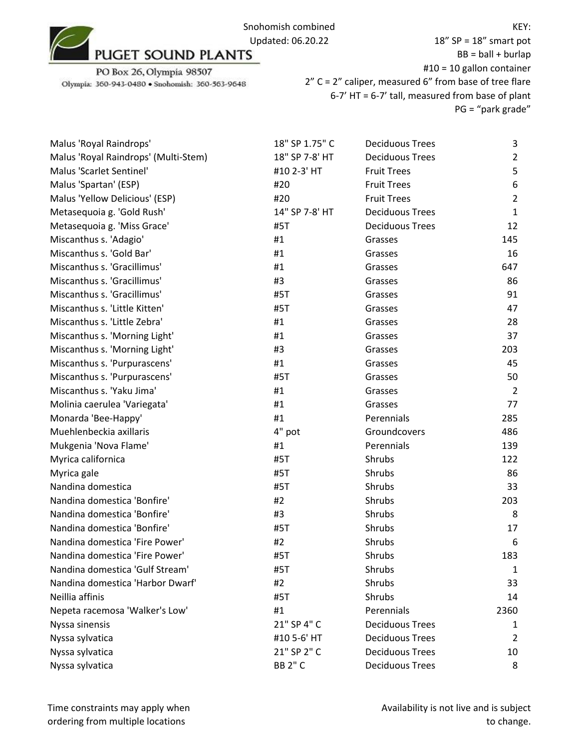

PO Box 26, Olympia 98507 Olympia: 360-943-0480 · Snohomish: 360-563-9648

18" SP = 18" smart pot  $BB = ball + burlap$ #10 = 10 gallon container 2" C = 2" caliper, measured 6" from base of tree flare 6-7' HT = 6-7' tall, measured from base of plant PG = "park grade"

| Malus 'Royal Raindrops'              | 18" SP 1.75" C | <b>Deciduous Trees</b> | 3              |
|--------------------------------------|----------------|------------------------|----------------|
| Malus 'Royal Raindrops' (Multi-Stem) | 18" SP 7-8' HT | <b>Deciduous Trees</b> | $\overline{2}$ |
| Malus 'Scarlet Sentinel'             | #10 2-3' HT    | <b>Fruit Trees</b>     | 5              |
| Malus 'Spartan' (ESP)                | #20            | <b>Fruit Trees</b>     | 6              |
| Malus 'Yellow Delicious' (ESP)       | #20            | <b>Fruit Trees</b>     | $\overline{2}$ |
| Metasequoia g. 'Gold Rush'           | 14" SP 7-8' HT | <b>Deciduous Trees</b> | $\mathbf{1}$   |
| Metasequoia g. 'Miss Grace'          | #5T            | <b>Deciduous Trees</b> | 12             |
| Miscanthus s. 'Adagio'               | #1             | Grasses                | 145            |
| Miscanthus s. 'Gold Bar'             | #1             | Grasses                | 16             |
| Miscanthus s. 'Gracillimus'          | #1             | Grasses                | 647            |
| Miscanthus s. 'Gracillimus'          | #3             | Grasses                | 86             |
| Miscanthus s. 'Gracillimus'          | #5T            | Grasses                | 91             |
| Miscanthus s. 'Little Kitten'        | #5T            | Grasses                | 47             |
| Miscanthus s. 'Little Zebra'         | #1             | Grasses                | 28             |
| Miscanthus s. 'Morning Light'        | #1             | Grasses                | 37             |
| Miscanthus s. 'Morning Light'        | #3             | Grasses                | 203            |
| Miscanthus s. 'Purpurascens'         | #1             | Grasses                | 45             |
| Miscanthus s. 'Purpurascens'         | #5T            | Grasses                | 50             |
| Miscanthus s. 'Yaku Jima'            | #1             | Grasses                | $\overline{2}$ |
| Molinia caerulea 'Variegata'         | #1             | Grasses                | 77             |
| Monarda 'Bee-Happy'                  | #1             | Perennials             | 285            |
| Muehlenbeckia axillaris              | 4" pot         | Groundcovers           | 486            |
| Mukgenia 'Nova Flame'                | #1             | Perennials             | 139            |
| Myrica californica                   | #5T            | Shrubs                 | 122            |
| Myrica gale                          | #5T            | Shrubs                 | 86             |
| Nandina domestica                    | #5T            | Shrubs                 | 33             |
| Nandina domestica 'Bonfire'          | #2             | Shrubs                 | 203            |
| Nandina domestica 'Bonfire'          | #3             | Shrubs                 | 8              |
| Nandina domestica 'Bonfire'          | #5T            | Shrubs                 | 17             |
| Nandina domestica 'Fire Power'       | #2             | Shrubs                 | 6              |
| Nandina domestica 'Fire Power'       | #5T            | Shrubs                 | 183            |
| Nandina domestica 'Gulf Stream'      | #5T            | Shrubs                 | $\mathbf{1}$   |
| Nandina domestica 'Harbor Dwarf'     | #2             | Shrubs                 | 33             |
| Neillia affinis                      | #5T            | Shrubs                 | 14             |
| Nepeta racemosa 'Walker's Low'       | #1             | Perennials             | 2360           |
| Nyssa sinensis                       | 21" SP 4" C    | <b>Deciduous Trees</b> | $\mathbf{1}$   |
| Nyssa sylvatica                      | #10 5-6' HT    | <b>Deciduous Trees</b> | 2              |
| Nyssa sylvatica                      | 21" SP 2" C    | <b>Deciduous Trees</b> | 10             |
| Nyssa sylvatica                      | <b>BB 2" C</b> | <b>Deciduous Trees</b> | 8              |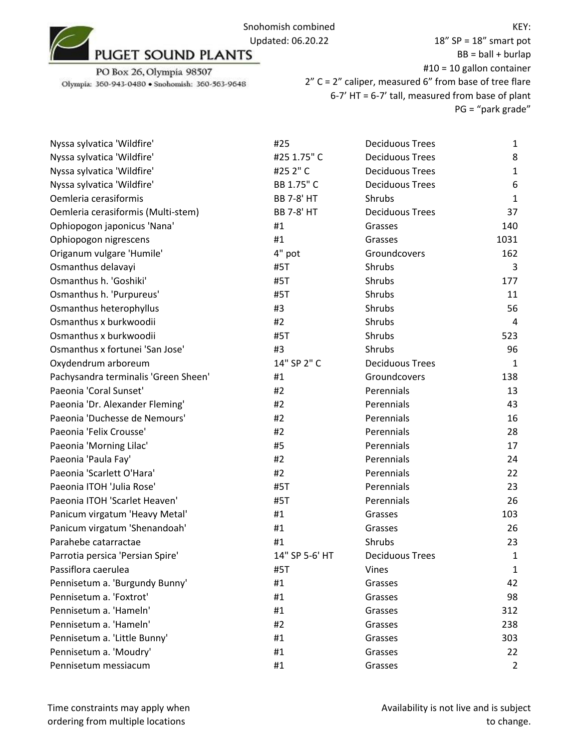

PO Box 26, Olympia 98507 Olympia: 360-943-0480 · Snohomish: 360-563-9648

18" SP = 18" smart pot  $BB = ball + burlap$ #10 = 10 gallon container 2" C = 2" caliper, measured 6" from base of tree flare 6-7' HT = 6-7' tall, measured from base of plant PG = "park grade"

| Nyssa sylvatica 'Wildfire'           | #25               | <b>Deciduous Trees</b> | $\mathbf{1}$   |
|--------------------------------------|-------------------|------------------------|----------------|
| Nyssa sylvatica 'Wildfire'           | #25 1.75" C       | <b>Deciduous Trees</b> | 8              |
| Nyssa sylvatica 'Wildfire'           | #25 2" C          | <b>Deciduous Trees</b> | $\mathbf{1}$   |
| Nyssa sylvatica 'Wildfire'           | BB 1.75" C        | <b>Deciduous Trees</b> | 6              |
| Oemleria cerasiformis                | <b>BB 7-8' HT</b> | Shrubs                 | $\mathbf{1}$   |
| Oemleria cerasiformis (Multi-stem)   | <b>BB 7-8' HT</b> | <b>Deciduous Trees</b> | 37             |
| Ophiopogon japonicus 'Nana'          | #1                | Grasses                | 140            |
| Ophiopogon nigrescens                | #1                | Grasses                | 1031           |
| Origanum vulgare 'Humile'            | 4" pot            | Groundcovers           | 162            |
| Osmanthus delavayi                   | #5T               | Shrubs                 | 3              |
| Osmanthus h. 'Goshiki'               | #5T               | Shrubs                 | 177            |
| Osmanthus h. 'Purpureus'             | #5T               | Shrubs                 | 11             |
| Osmanthus heterophyllus              | #3                | Shrubs                 | 56             |
| Osmanthus x burkwoodii               | #2                | Shrubs                 | 4              |
| Osmanthus x burkwoodii               | #5T               | Shrubs                 | 523            |
| Osmanthus x fortunei 'San Jose'      | #3                | Shrubs                 | 96             |
| Oxydendrum arboreum                  | 14" SP 2" C       | <b>Deciduous Trees</b> | 1              |
| Pachysandra terminalis 'Green Sheen' | #1                | Groundcovers           | 138            |
| Paeonia 'Coral Sunset'               | #2                | Perennials             | 13             |
| Paeonia 'Dr. Alexander Fleming'      | #2                | Perennials             | 43             |
| Paeonia 'Duchesse de Nemours'        | #2                | Perennials             | 16             |
| Paeonia 'Felix Crousse'              | #2                | Perennials             | 28             |
| Paeonia 'Morning Lilac'              | #5                | Perennials             | 17             |
| Paeonia 'Paula Fay'                  | #2                | Perennials             | 24             |
| Paeonia 'Scarlett O'Hara'            | #2                | Perennials             | 22             |
| Paeonia ITOH 'Julia Rose'            | #5T               | Perennials             | 23             |
| Paeonia ITOH 'Scarlet Heaven'        | #5T               | Perennials             | 26             |
| Panicum virgatum 'Heavy Metal'       | #1                | Grasses                | 103            |
| Panicum virgatum 'Shenandoah'        | #1                | Grasses                | 26             |
| Parahebe catarractae                 | #1                | Shrubs                 | 23             |
| Parrotia persica 'Persian Spire'     | 14" SP 5-6' HT    | <b>Deciduous Trees</b> | $\mathbf{1}$   |
| Passiflora caerulea                  | #5T               | Vines                  | $\mathbf{1}$   |
| Pennisetum a. 'Burgundy Bunny'       | #1                | Grasses                | 42             |
| Pennisetum a. 'Foxtrot'              | #1                | Grasses                | 98             |
| Pennisetum a. 'Hameln'               | #1                | Grasses                | 312            |
| Pennisetum a. 'Hameln'               | #2                | Grasses                | 238            |
| Pennisetum a. 'Little Bunny'         | #1                | Grasses                | 303            |
| Pennisetum a. 'Moudry'               | #1                | Grasses                | 22             |
| Pennisetum messiacum                 | #1                | Grasses                | $\overline{2}$ |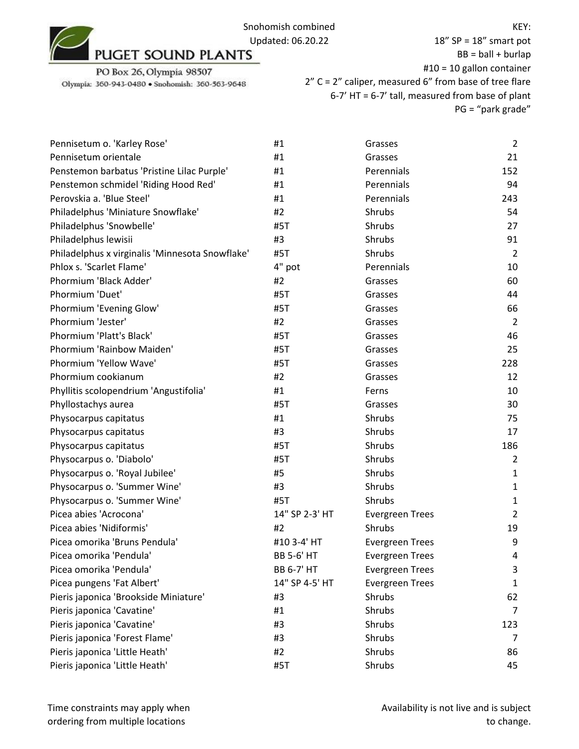

PO Box 26, Olympia 98507 Olympia: 360-943-0480 · Snohomish: 360-563-9648

| Pennisetum o. 'Karley Rose'                     | #1                | Grasses                | $\overline{2}$ |
|-------------------------------------------------|-------------------|------------------------|----------------|
| Pennisetum orientale                            | #1                | Grasses                | 21             |
| Penstemon barbatus 'Pristine Lilac Purple'      | #1                | Perennials             | 152            |
| Penstemon schmidel 'Riding Hood Red'            | #1                | Perennials             | 94             |
| Perovskia a. 'Blue Steel'                       | #1                | Perennials             | 243            |
| Philadelphus 'Miniature Snowflake'              | #2                | Shrubs                 | 54             |
| Philadelphus 'Snowbelle'                        | #5T               | Shrubs                 | 27             |
| Philadelphus lewisii                            | #3                | Shrubs                 | 91             |
| Philadelphus x virginalis 'Minnesota Snowflake' | #5T               | Shrubs                 | $\overline{2}$ |
| Phlox s. 'Scarlet Flame'                        | 4" pot            | Perennials             | 10             |
| Phormium 'Black Adder'                          | #2                | Grasses                | 60             |
| Phormium 'Duet'                                 | #5T               | Grasses                | 44             |
| Phormium 'Evening Glow'                         | #5T               | Grasses                | 66             |
| Phormium 'Jester'                               | #2                | Grasses                | $\overline{2}$ |
| Phormium 'Platt's Black'                        | #5T               | Grasses                | 46             |
| Phormium 'Rainbow Maiden'                       | #5T               | Grasses                | 25             |
| Phormium 'Yellow Wave'                          | #5T               | Grasses                | 228            |
| Phormium cookianum                              | #2                | Grasses                | 12             |
| Phyllitis scolopendrium 'Angustifolia'          | #1                | Ferns                  | 10             |
| Phyllostachys aurea                             | #5T               | Grasses                | 30             |
| Physocarpus capitatus                           | #1                | Shrubs                 | 75             |
| Physocarpus capitatus                           | #3                | Shrubs                 | 17             |
| Physocarpus capitatus                           | #5T               | Shrubs                 | 186            |
| Physocarpus o. 'Diabolo'                        | #5T               | Shrubs                 | $\overline{2}$ |
| Physocarpus o. 'Royal Jubilee'                  | #5                | Shrubs                 | $\mathbf{1}$   |
| Physocarpus o. 'Summer Wine'                    | #3                | Shrubs                 | $\mathbf{1}$   |
| Physocarpus o. 'Summer Wine'                    | #5T               | Shrubs                 | $\mathbf{1}$   |
| Picea abies 'Acrocona'                          | 14" SP 2-3' HT    | <b>Evergreen Trees</b> | $\overline{2}$ |
| Picea abies 'Nidiformis'                        | #2                | Shrubs                 | 19             |
| Picea omorika 'Bruns Pendula'                   | #10 3-4' HT       | <b>Evergreen Trees</b> | 9              |
| Picea omorika 'Pendula'                         | <b>BB 5-6' HT</b> | <b>Evergreen Trees</b> | 4              |
| Picea omorika 'Pendula'                         | <b>BB 6-7' HT</b> | <b>Evergreen Trees</b> | 3              |
| Picea pungens 'Fat Albert'                      | 14" SP 4-5' HT    | <b>Evergreen Trees</b> | $\mathbf{1}$   |
| Pieris japonica 'Brookside Miniature'           | #3                | Shrubs                 | 62             |
| Pieris japonica 'Cavatine'                      | #1                | Shrubs                 | 7              |
| Pieris japonica 'Cavatine'                      | #3                | Shrubs                 | 123            |
| Pieris japonica 'Forest Flame'                  | #3                | Shrubs                 | 7              |
| Pieris japonica 'Little Heath'                  | #2                | Shrubs                 | 86             |
| Pieris japonica 'Little Heath'                  | #5T               | Shrubs                 | 45             |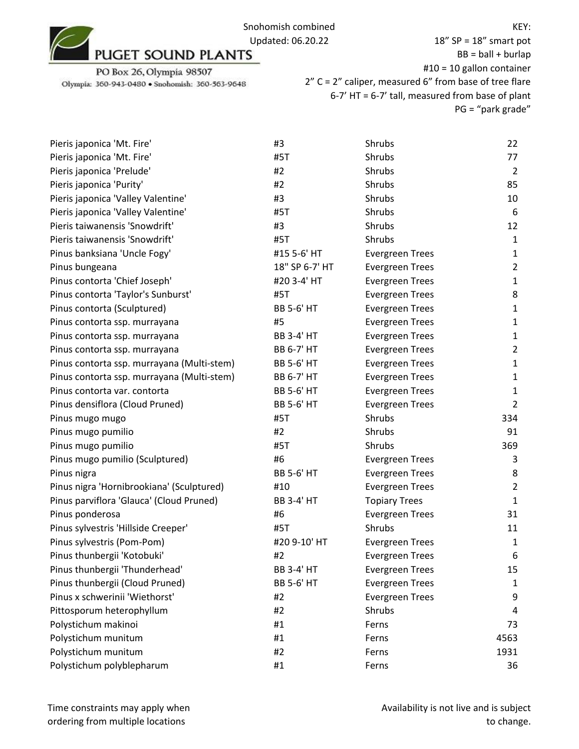

PO Box 26, Olympia 98507 Olympia: 360-943-0480 · Snohomish: 360-563-9648

| Pieris japonica 'Mt. Fire'                 | #3                | Shrubs                 | 22             |
|--------------------------------------------|-------------------|------------------------|----------------|
| Pieris japonica 'Mt. Fire'                 | #5T               | Shrubs                 | 77             |
| Pieris japonica 'Prelude'                  | #2                | Shrubs                 | $\overline{2}$ |
| Pieris japonica 'Purity'                   | #2                | Shrubs                 | 85             |
| Pieris japonica 'Valley Valentine'         | #3                | Shrubs                 | 10             |
| Pieris japonica 'Valley Valentine'         | #5T               | Shrubs                 | 6              |
| Pieris taiwanensis 'Snowdrift'             | #3                | Shrubs                 | 12             |
| Pieris taiwanensis 'Snowdrift'             | #5T               | Shrubs                 | $\mathbf{1}$   |
| Pinus banksiana 'Uncle Fogy'               | #15 5-6' HT       | <b>Evergreen Trees</b> | $\mathbf{1}$   |
| Pinus bungeana                             | 18" SP 6-7' HT    | <b>Evergreen Trees</b> | $\overline{2}$ |
| Pinus contorta 'Chief Joseph'              | #20 3-4' HT       | <b>Evergreen Trees</b> | $\mathbf{1}$   |
| Pinus contorta 'Taylor's Sunburst'         | #5T               | <b>Evergreen Trees</b> | 8              |
| Pinus contorta (Sculptured)                | <b>BB 5-6' HT</b> | <b>Evergreen Trees</b> | $\mathbf{1}$   |
| Pinus contorta ssp. murrayana              | #5                | <b>Evergreen Trees</b> | $\mathbf{1}$   |
| Pinus contorta ssp. murrayana              | <b>BB 3-4' HT</b> | <b>Evergreen Trees</b> | $\mathbf{1}$   |
| Pinus contorta ssp. murrayana              | <b>BB 6-7' HT</b> | <b>Evergreen Trees</b> | $\overline{2}$ |
| Pinus contorta ssp. murrayana (Multi-stem) | <b>BB 5-6' HT</b> | <b>Evergreen Trees</b> | $\mathbf{1}$   |
| Pinus contorta ssp. murrayana (Multi-stem) | <b>BB 6-7' HT</b> | <b>Evergreen Trees</b> | $\mathbf{1}$   |
| Pinus contorta var. contorta               | <b>BB 5-6' HT</b> | <b>Evergreen Trees</b> | $\mathbf{1}$   |
| Pinus densiflora (Cloud Pruned)            | <b>BB 5-6' HT</b> | <b>Evergreen Trees</b> | 2              |
| Pinus mugo mugo                            | #5T               | Shrubs                 | 334            |
| Pinus mugo pumilio                         | #2                | Shrubs                 | 91             |
| Pinus mugo pumilio                         | #5T               | Shrubs                 | 369            |
| Pinus mugo pumilio (Sculptured)            | #6                | <b>Evergreen Trees</b> | 3              |
| Pinus nigra                                | <b>BB 5-6' HT</b> | <b>Evergreen Trees</b> | 8              |
| Pinus nigra 'Hornibrookiana' (Sculptured)  | #10               | <b>Evergreen Trees</b> | $\overline{2}$ |
| Pinus parviflora 'Glauca' (Cloud Pruned)   | <b>BB 3-4' HT</b> | <b>Topiary Trees</b>   | $\mathbf{1}$   |
| Pinus ponderosa                            | #6                | <b>Evergreen Trees</b> | 31             |
| Pinus sylvestris 'Hillside Creeper'        | #5T               | Shrubs                 | 11             |
| Pinus sylvestris (Pom-Pom)                 | #20 9-10' HT      | <b>Evergreen Trees</b> | $\mathbf{1}$   |
| Pinus thunbergii 'Kotobuki'                | #2                | <b>Evergreen Trees</b> | 6              |
| Pinus thunbergii 'Thunderhead'             | <b>BB 3-4' HT</b> | <b>Evergreen Trees</b> | 15             |
| Pinus thunbergii (Cloud Pruned)            | <b>BB 5-6' HT</b> | <b>Evergreen Trees</b> | $\mathbf{1}$   |
| Pinus x schwerinii 'Wiethorst'             | #2                | <b>Evergreen Trees</b> | 9              |
| Pittosporum heterophyllum                  | #2                | Shrubs                 | 4              |
| Polystichum makinoi                        | #1                | Ferns                  | 73             |
| Polystichum munitum                        | #1                | Ferns                  | 4563           |
| Polystichum munitum                        | #2                | Ferns                  | 1931           |
| Polystichum polyblepharum                  | #1                | Ferns                  | 36             |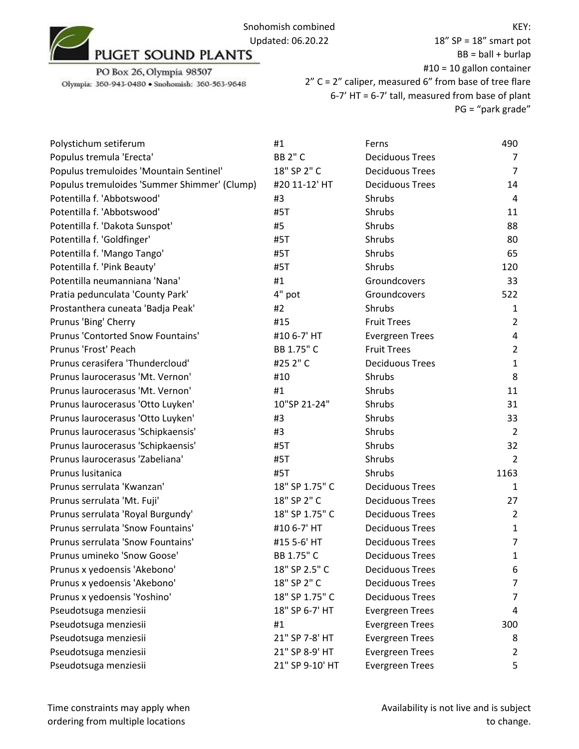

PO Box 26, Olympia 98507 Olympia: 360-943-0480 · Snohomish: 360-563-9648

18" SP = 18" smart pot  $BB = ball + burlap$ #10 = 10 gallon container 2" C = 2" caliper, measured 6" from base of tree flare 6-7' HT = 6-7' tall, measured from base of plant PG = "park grade"

| Polystichum setiferum                        | #1              | Ferns                  | 490            |
|----------------------------------------------|-----------------|------------------------|----------------|
| Populus tremula 'Erecta'                     | <b>BB 2" C</b>  | <b>Deciduous Trees</b> | 7              |
| Populus tremuloides 'Mountain Sentinel'      | 18" SP 2" C     | <b>Deciduous Trees</b> | $\overline{7}$ |
| Populus tremuloides 'Summer Shimmer' (Clump) | #20 11-12' HT   | <b>Deciduous Trees</b> | 14             |
| Potentilla f. 'Abbotswood'                   | #3              | Shrubs                 | 4              |
| Potentilla f. 'Abbotswood'                   | #5T             | Shrubs                 | 11             |
| Potentilla f. 'Dakota Sunspot'               | #5              | Shrubs                 | 88             |
| Potentilla f. 'Goldfinger'                   | #5T             | Shrubs                 | 80             |
| Potentilla f. 'Mango Tango'                  | #5T             | Shrubs                 | 65             |
| Potentilla f. 'Pink Beauty'                  | #5T             | Shrubs                 | 120            |
| Potentilla neumanniana 'Nana'                | #1              | Groundcovers           | 33             |
| Pratia pedunculata 'County Park'             | 4" pot          | Groundcovers           | 522            |
| Prostanthera cuneata 'Badja Peak'            | #2              | Shrubs                 | $\mathbf{1}$   |
| Prunus 'Bing' Cherry                         | #15             | <b>Fruit Trees</b>     | $\overline{2}$ |
| Prunus 'Contorted Snow Fountains'            | #10 6-7' HT     | <b>Evergreen Trees</b> | 4              |
| Prunus 'Frost' Peach                         | BB 1.75" C      | <b>Fruit Trees</b>     | $\overline{2}$ |
| Prunus cerasifera 'Thundercloud'             | #25 2" C        | <b>Deciduous Trees</b> | $\mathbf{1}$   |
| Prunus laurocerasus 'Mt. Vernon'             | #10             | Shrubs                 | 8              |
| Prunus laurocerasus 'Mt. Vernon'             | #1              | Shrubs                 | 11             |
| Prunus laurocerasus 'Otto Luyken'            | 10"SP 21-24"    | Shrubs                 | 31             |
| Prunus laurocerasus 'Otto Luyken'            | #3              | Shrubs                 | 33             |
| Prunus laurocerasus 'Schipkaensis'           | #3              | Shrubs                 | $\overline{2}$ |
| Prunus laurocerasus 'Schipkaensis'           | #5T             | Shrubs                 | 32             |
| Prunus laurocerasus 'Zabeliana'              | #5T             | Shrubs                 | $\overline{2}$ |
| Prunus lusitanica                            | #5T             | Shrubs                 | 1163           |
| Prunus serrulata 'Kwanzan'                   | 18" SP 1.75" C  | <b>Deciduous Trees</b> | 1              |
| Prunus serrulata 'Mt. Fuji'                  | 18" SP 2" C     | <b>Deciduous Trees</b> | 27             |
| Prunus serrulata 'Royal Burgundy'            | 18" SP 1.75" C  | <b>Deciduous Trees</b> | $\overline{2}$ |
| Prunus serrulata 'Snow Fountains'            | #10 6-7' HT     | <b>Deciduous Trees</b> | $\mathbf{1}$   |
| Prunus serrulata 'Snow Fountains'            | #15 5-6' HT     | <b>Deciduous Trees</b> | 7              |
| Prunus umineko 'Snow Goose'                  | BB 1.75" C      | <b>Deciduous Trees</b> | 1              |
| Prunus x yedoensis 'Akebono'                 | 18" SP 2.5" C   | <b>Deciduous Trees</b> | 6              |
| Prunus x yedoensis 'Akebono'                 | 18" SP 2" C     | <b>Deciduous Trees</b> | 7              |
| Prunus x yedoensis 'Yoshino'                 | 18" SP 1.75" C  | <b>Deciduous Trees</b> | $\overline{7}$ |
| Pseudotsuga menziesii                        | 18" SP 6-7' HT  | <b>Evergreen Trees</b> | 4              |
| Pseudotsuga menziesii                        | #1              | <b>Evergreen Trees</b> | 300            |
| Pseudotsuga menziesii                        | 21" SP 7-8' HT  | <b>Evergreen Trees</b> | 8              |
| Pseudotsuga menziesii                        | 21" SP 8-9' HT  | <b>Evergreen Trees</b> | 2              |
| Pseudotsuga menziesii                        | 21" SP 9-10' HT | <b>Evergreen Trees</b> | 5              |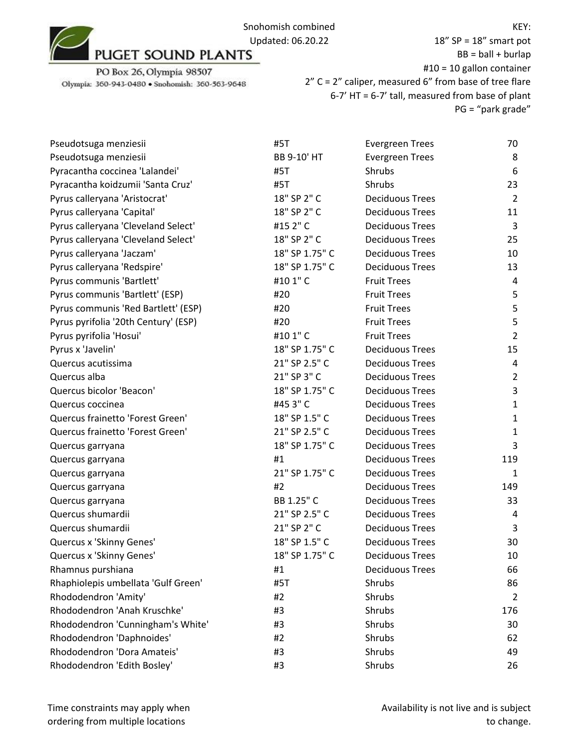

PO Box 26, Olympia 98507 Olympia: 360-943-0480 · Snohomish: 360-563-9648

18" SP = 18" smart pot  $BB = ball + burlap$ #10 = 10 gallon container 2" C = 2" caliper, measured 6" from base of tree flare 6-7' HT = 6-7' tall, measured from base of plant PG = "park grade"

| Pseudotsuga menziesii                | #5T            | <b>Evergreen Trees</b> | 70             |
|--------------------------------------|----------------|------------------------|----------------|
| Pseudotsuga menziesii                | BB 9-10' HT    | <b>Evergreen Trees</b> | 8              |
| Pyracantha coccinea 'Lalandei'       | #5T            | Shrubs                 | 6              |
| Pyracantha koidzumii 'Santa Cruz'    | #5T            | Shrubs                 | 23             |
| Pyrus calleryana 'Aristocrat'        | 18" SP 2" C    | <b>Deciduous Trees</b> | $\overline{2}$ |
| Pyrus calleryana 'Capital'           | 18" SP 2" C    | <b>Deciduous Trees</b> | 11             |
| Pyrus calleryana 'Cleveland Select'  | #15 2" C       | <b>Deciduous Trees</b> | 3              |
| Pyrus calleryana 'Cleveland Select'  | 18" SP 2" C    | <b>Deciduous Trees</b> | 25             |
| Pyrus calleryana 'Jaczam'            | 18" SP 1.75" C | <b>Deciduous Trees</b> | 10             |
| Pyrus calleryana 'Redspire'          | 18" SP 1.75" C | <b>Deciduous Trees</b> | 13             |
| Pyrus communis 'Bartlett'            | #10 1" C       | <b>Fruit Trees</b>     | 4              |
| Pyrus communis 'Bartlett' (ESP)      | #20            | <b>Fruit Trees</b>     | 5              |
| Pyrus communis 'Red Bartlett' (ESP)  | #20            | <b>Fruit Trees</b>     | 5              |
| Pyrus pyrifolia '20th Century' (ESP) | #20            | <b>Fruit Trees</b>     | 5              |
| Pyrus pyrifolia 'Hosui'              | #10 1" C       | <b>Fruit Trees</b>     | $\overline{2}$ |
| Pyrus x 'Javelin'                    | 18" SP 1.75" C | <b>Deciduous Trees</b> | 15             |
| Quercus acutissima                   | 21" SP 2.5" C  | <b>Deciduous Trees</b> | 4              |
| Quercus alba                         | 21" SP 3" C    | <b>Deciduous Trees</b> | $\overline{2}$ |
| Quercus bicolor 'Beacon'             | 18" SP 1.75" C | <b>Deciduous Trees</b> | 3              |
| Quercus coccinea                     | #453"C         | <b>Deciduous Trees</b> | $\mathbf{1}$   |
| Quercus frainetto 'Forest Green'     | 18" SP 1.5" C  | <b>Deciduous Trees</b> | $\mathbf{1}$   |
| Quercus frainetto 'Forest Green'     | 21" SP 2.5" C  | <b>Deciduous Trees</b> | 1              |
| Quercus garryana                     | 18" SP 1.75" C | <b>Deciduous Trees</b> | 3              |
| Quercus garryana                     | #1             | <b>Deciduous Trees</b> | 119            |
| Quercus garryana                     | 21" SP 1.75" C | <b>Deciduous Trees</b> | 1              |
| Quercus garryana                     | #2             | <b>Deciduous Trees</b> | 149            |
| Quercus garryana                     | BB 1.25" C     | <b>Deciduous Trees</b> | 33             |
| Quercus shumardii                    | 21" SP 2.5" C  | <b>Deciduous Trees</b> | 4              |
| Quercus shumardii                    | 21" SP 2" C    | <b>Deciduous Trees</b> | 3              |
| Quercus x 'Skinny Genes'             | 18" SP 1.5" C  | <b>Deciduous Trees</b> | 30             |
| Quercus x 'Skinny Genes'             | 18" SP 1.75" C | <b>Deciduous Trees</b> | 10             |
| Rhamnus purshiana                    | #1             | <b>Deciduous Trees</b> | 66             |
| Rhaphiolepis umbellata 'Gulf Green'  | #5T            | Shrubs                 | 86             |
| Rhododendron 'Amity'                 | #2             | Shrubs                 | $\overline{2}$ |
| Rhododendron 'Anah Kruschke'         | #3             | Shrubs                 | 176            |
| Rhododendron 'Cunningham's White'    | #3             | Shrubs                 | 30             |
| Rhododendron 'Daphnoides'            | #2             | Shrubs                 | 62             |
| Rhododendron 'Dora Amateis'          | #3             | Shrubs                 | 49             |
| Rhododendron 'Edith Bosley'          | #3             | Shrubs                 | 26             |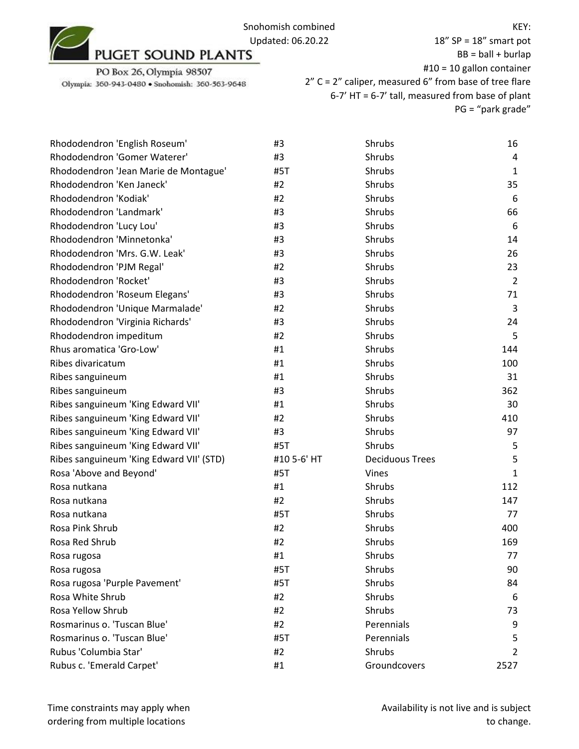

PO Box 26, Olympia 98507 Olympia: 360-943-0480 · Snohomish: 360-563-9648

| Rhododendron 'English Roseum'            | #3          | Shrubs                 | 16             |
|------------------------------------------|-------------|------------------------|----------------|
| Rhododendron 'Gomer Waterer'             | #3          | Shrubs                 | 4              |
| Rhododendron 'Jean Marie de Montague'    | #5T         | Shrubs                 | $\mathbf{1}$   |
| Rhododendron 'Ken Janeck'                | #2          | Shrubs                 | 35             |
| Rhododendron 'Kodiak'                    | #2          | Shrubs                 | 6              |
| Rhododendron 'Landmark'                  | #3          | Shrubs                 | 66             |
| Rhododendron 'Lucy Lou'                  | #3          | Shrubs                 | 6              |
| Rhododendron 'Minnetonka'                | #3          | Shrubs                 | 14             |
| Rhododendron 'Mrs. G.W. Leak'            | #3          | Shrubs                 | 26             |
| Rhododendron 'PJM Regal'                 | #2          | Shrubs                 | 23             |
| Rhododendron 'Rocket'                    | #3          | Shrubs                 | $\overline{2}$ |
| Rhododendron 'Roseum Elegans'            | #3          | Shrubs                 | 71             |
| Rhododendron 'Unique Marmalade'          | #2          | Shrubs                 | 3              |
| Rhododendron 'Virginia Richards'         | #3          | Shrubs                 | 24             |
| Rhododendron impeditum                   | #2          | Shrubs                 | 5              |
| Rhus aromatica 'Gro-Low'                 | #1          | Shrubs                 | 144            |
| Ribes divaricatum                        | #1          | Shrubs                 | 100            |
| Ribes sanguineum                         | #1          | Shrubs                 | 31             |
| Ribes sanguineum                         | #3          | Shrubs                 | 362            |
| Ribes sanguineum 'King Edward VII'       | #1          | Shrubs                 | 30             |
| Ribes sanguineum 'King Edward VII'       | #2          | Shrubs                 | 410            |
| Ribes sanguineum 'King Edward VII'       | #3          | Shrubs                 | 97             |
| Ribes sanguineum 'King Edward VII'       | #5T         | Shrubs                 | 5              |
| Ribes sanguineum 'King Edward VII' (STD) | #10 5-6' HT | <b>Deciduous Trees</b> | 5              |
| Rosa 'Above and Beyond'                  | #5T         | Vines                  | $\mathbf{1}$   |
| Rosa nutkana                             | #1          | Shrubs                 | 112            |
| Rosa nutkana                             | #2          | Shrubs                 | 147            |
| Rosa nutkana                             | #5T         | Shrubs                 | 77             |
| Rosa Pink Shrub                          | #2          | Shrubs                 | 400            |
| Rosa Red Shrub                           | #2          | Shrubs                 | 169            |
| Rosa rugosa                              | #1          | Shrubs                 | 77             |
| Rosa rugosa                              | #5T         | Shrubs                 | 90             |
| Rosa rugosa 'Purple Pavement'            | #5T         | Shrubs                 | 84             |
| Rosa White Shrub                         | #2          | Shrubs                 | 6              |
| Rosa Yellow Shrub                        | #2          | Shrubs                 | 73             |
| Rosmarinus o. 'Tuscan Blue'              | #2          | Perennials             | 9              |
| Rosmarinus o. 'Tuscan Blue'              | #5T         | Perennials             | 5              |
| Rubus 'Columbia Star'                    | #2          | Shrubs                 | $\overline{2}$ |
| Rubus c. 'Emerald Carpet'                | #1          | Groundcovers           | 2527           |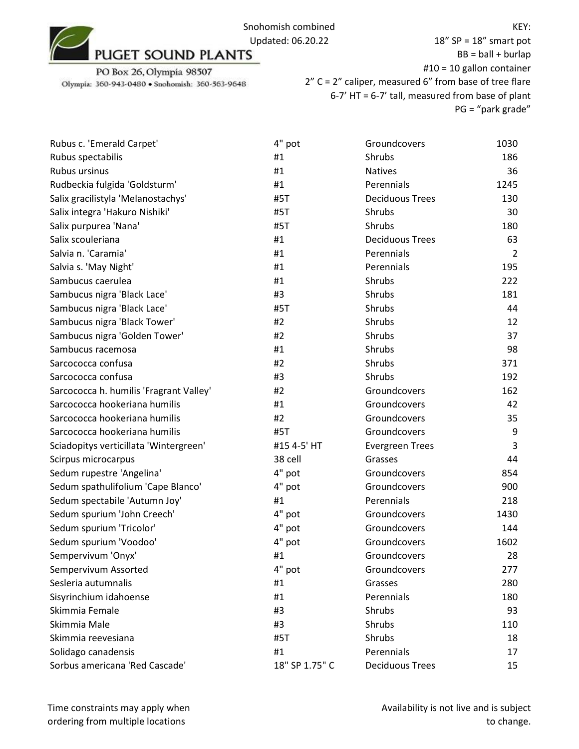

PO Box 26, Olympia 98507 Olympia: 360-943-0480 · Snohomish: 360-563-9648

18" SP = 18" smart pot  $BB = ball + burlap$ #10 = 10 gallon container 2" C = 2" caliper, measured 6" from base of tree flare 6-7' HT = 6-7' tall, measured from base of plant PG = "park grade"

| Rubus c. 'Emerald Carpet'               | 4" pot         | Groundcovers           | 1030           |
|-----------------------------------------|----------------|------------------------|----------------|
| Rubus spectabilis                       | #1             | Shrubs                 | 186            |
| Rubus ursinus                           | #1             | <b>Natives</b>         | 36             |
| Rudbeckia fulgida 'Goldsturm'           | #1             | Perennials             | 1245           |
| Salix gracilistyla 'Melanostachys'      | #5T            | <b>Deciduous Trees</b> | 130            |
| Salix integra 'Hakuro Nishiki'          | #5T            | Shrubs                 | 30             |
| Salix purpurea 'Nana'                   | #5T            | Shrubs                 | 180            |
| Salix scouleriana                       | #1             | <b>Deciduous Trees</b> | 63             |
| Salvia n. 'Caramia'                     | #1             | Perennials             | $\overline{2}$ |
| Salvia s. 'May Night'                   | #1             | Perennials             | 195            |
| Sambucus caerulea                       | #1             | Shrubs                 | 222            |
| Sambucus nigra 'Black Lace'             | #3             | Shrubs                 | 181            |
| Sambucus nigra 'Black Lace'             | #5T            | Shrubs                 | 44             |
| Sambucus nigra 'Black Tower'            | #2             | Shrubs                 | 12             |
| Sambucus nigra 'Golden Tower'           | #2             | Shrubs                 | 37             |
| Sambucus racemosa                       | #1             | Shrubs                 | 98             |
| Sarcococca confusa                      | #2             | Shrubs                 | 371            |
| Sarcococca confusa                      | #3             | Shrubs                 | 192            |
| Sarcococca h. humilis 'Fragrant Valley' | #2             | Groundcovers           | 162            |
| Sarcococca hookeriana humilis           | #1             | Groundcovers           | 42             |
| Sarcococca hookeriana humilis           | #2             | Groundcovers           | 35             |
| Sarcococca hookeriana humilis           | #5T            | Groundcovers           | 9              |
| Sciadopitys verticillata 'Wintergreen'  | #15 4-5' HT    | <b>Evergreen Trees</b> | 3              |
| Scirpus microcarpus                     | 38 cell        | Grasses                | 44             |
| Sedum rupestre 'Angelina'               | 4" pot         | Groundcovers           | 854            |
| Sedum spathulifolium 'Cape Blanco'      | 4" pot         | Groundcovers           | 900            |
| Sedum spectabile 'Autumn Joy'           | #1             | Perennials             | 218            |
| Sedum spurium 'John Creech'             | 4" pot         | Groundcovers           | 1430           |
| Sedum spurium 'Tricolor'                | 4" pot         | Groundcovers           | 144            |
| Sedum spurium 'Voodoo'                  | 4" pot         | Groundcovers           | 1602           |
| Sempervivum 'Onyx'                      | #1             | Groundcovers           | 28             |
| Sempervivum Assorted                    | 4" pot         | Groundcovers           | 277            |
| Sesleria autumnalis                     | #1             | Grasses                | 280            |
| Sisyrinchium idahoense                  | #1             | Perennials             | 180            |
| Skimmia Female                          | #3             | Shrubs                 | 93             |
| Skimmia Male                            | #3             | Shrubs                 | 110            |
| Skimmia reevesiana                      | #5T            | Shrubs                 | 18             |
| Solidago canadensis                     | #1             | Perennials             | 17             |
| Sorbus americana 'Red Cascade'          | 18" SP 1.75" C | <b>Deciduous Trees</b> | 15             |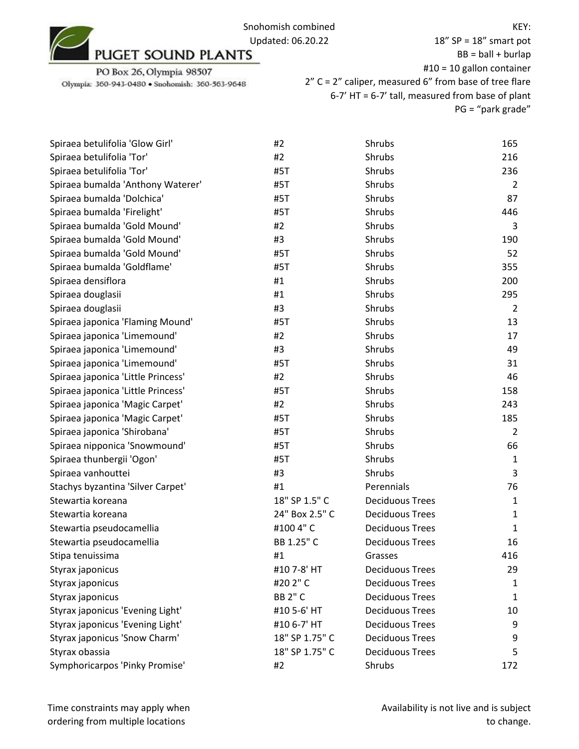

PO Box 26, Olympia 98507 Olympia: 360-943-0480 · Snohomish: 360-563-9648

18" SP = 18" smart pot  $BB = ball + burlap$ #10 = 10 gallon container 2" C = 2" caliper, measured 6" from base of tree flare 6-7' HT = 6-7' tall, measured from base of plant PG = "park grade"

| Spiraea betulifolia 'Glow Girl'    | #2             | Shrubs                 | 165            |
|------------------------------------|----------------|------------------------|----------------|
| Spiraea betulifolia 'Tor'          | #2             | Shrubs                 | 216            |
| Spiraea betulifolia 'Tor'          | #5T            | Shrubs                 | 236            |
| Spiraea bumalda 'Anthony Waterer'  | #5T            | Shrubs                 | 2              |
| Spiraea bumalda 'Dolchica'         | #5T            | Shrubs                 | 87             |
| Spiraea bumalda 'Firelight'        | #5T            | Shrubs                 | 446            |
| Spiraea bumalda 'Gold Mound'       | #2             | Shrubs                 | 3              |
| Spiraea bumalda 'Gold Mound'       | #3             | Shrubs                 | 190            |
| Spiraea bumalda 'Gold Mound'       | #5T            | Shrubs                 | 52             |
| Spiraea bumalda 'Goldflame'        | #5T            | Shrubs                 | 355            |
| Spiraea densiflora                 | #1             | Shrubs                 | 200            |
| Spiraea douglasii                  | #1             | Shrubs                 | 295            |
| Spiraea douglasii                  | #3             | Shrubs                 | $\overline{2}$ |
| Spiraea japonica 'Flaming Mound'   | #5T            | Shrubs                 | 13             |
| Spiraea japonica 'Limemound'       | #2             | Shrubs                 | 17             |
| Spiraea japonica 'Limemound'       | #3             | Shrubs                 | 49             |
| Spiraea japonica 'Limemound'       | #5T            | Shrubs                 | 31             |
| Spiraea japonica 'Little Princess' | #2             | Shrubs                 | 46             |
| Spiraea japonica 'Little Princess' | #5T            | Shrubs                 | 158            |
| Spiraea japonica 'Magic Carpet'    | #2             | Shrubs                 | 243            |
| Spiraea japonica 'Magic Carpet'    | #5T            | Shrubs                 | 185            |
| Spiraea japonica 'Shirobana'       | #5T            | Shrubs                 | $\overline{2}$ |
| Spiraea nipponica 'Snowmound'      | #5T            | Shrubs                 | 66             |
| Spiraea thunbergii 'Ogon'          | #5T            | Shrubs                 | $\mathbf{1}$   |
| Spiraea vanhouttei                 | #3             | Shrubs                 | 3              |
| Stachys byzantina 'Silver Carpet'  | #1             | Perennials             | 76             |
| Stewartia koreana                  | 18" SP 1.5" C  | <b>Deciduous Trees</b> | $\mathbf{1}$   |
| Stewartia koreana                  | 24" Box 2.5" C | <b>Deciduous Trees</b> | 1              |
| Stewartia pseudocamellia           | #100 4" C      | <b>Deciduous Trees</b> | 1              |
| Stewartia pseudocamellia           | BB 1.25" C     | <b>Deciduous Trees</b> | 16             |
| Stipa tenuissima                   | #1             | Grasses                | 416            |
| Styrax japonicus                   | #10 7-8' HT    | <b>Deciduous Trees</b> | 29             |
| Styrax japonicus                   | #20 2" C       | <b>Deciduous Trees</b> | 1              |
| Styrax japonicus                   | BB 2" C        | <b>Deciduous Trees</b> | $\mathbf{1}$   |
| Styrax japonicus 'Evening Light'   | #10 5-6' HT    | <b>Deciduous Trees</b> | 10             |
| Styrax japonicus 'Evening Light'   | #10 6-7' HT    | <b>Deciduous Trees</b> | 9              |
| Styrax japonicus 'Snow Charm'      | 18" SP 1.75" C | <b>Deciduous Trees</b> | 9              |
| Styrax obassia                     | 18" SP 1.75" C | <b>Deciduous Trees</b> | 5              |
| Symphoricarpos 'Pinky Promise'     | #2             | Shrubs                 | 172            |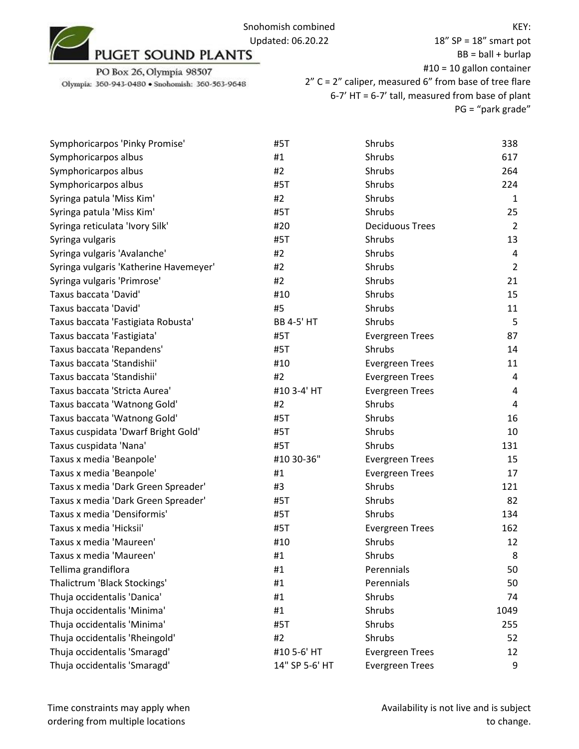

PO Box 26, Olympia 98507 Olympia: 360-943-0480 · Snohomish: 360-563-9648

| Symphoricarpos 'Pinky Promise'         | #5T               | Shrubs                 | 338            |
|----------------------------------------|-------------------|------------------------|----------------|
| Symphoricarpos albus                   | #1                | Shrubs                 | 617            |
| Symphoricarpos albus                   | #2                | Shrubs                 | 264            |
| Symphoricarpos albus                   | #5T               | Shrubs                 | 224            |
| Syringa patula 'Miss Kim'              | #2                | Shrubs                 | 1              |
| Syringa patula 'Miss Kim'              | #5T               | Shrubs                 | 25             |
| Syringa reticulata 'Ivory Silk'        | #20               | <b>Deciduous Trees</b> | $\overline{2}$ |
| Syringa vulgaris                       | #5T               | Shrubs                 | 13             |
| Syringa vulgaris 'Avalanche'           | #2                | Shrubs                 | 4              |
| Syringa vulgaris 'Katherine Havemeyer' | #2                | Shrubs                 | $\overline{2}$ |
| Syringa vulgaris 'Primrose'            | #2                | Shrubs                 | 21             |
| Taxus baccata 'David'                  | #10               | Shrubs                 | 15             |
| Taxus baccata 'David'                  | #5                | Shrubs                 | 11             |
| Taxus baccata 'Fastigiata Robusta'     | <b>BB 4-5' HT</b> | Shrubs                 | 5              |
| Taxus baccata 'Fastigiata'             | #5T               | <b>Evergreen Trees</b> | 87             |
| Taxus baccata 'Repandens'              | #5T               | Shrubs                 | 14             |
| Taxus baccata 'Standishii'             | #10               | <b>Evergreen Trees</b> | 11             |
| Taxus baccata 'Standishii'             | #2                | <b>Evergreen Trees</b> | 4              |
| Taxus baccata 'Stricta Aurea'          | #10 3-4' HT       | <b>Evergreen Trees</b> | 4              |
| Taxus baccata 'Watnong Gold'           | #2                | Shrubs                 | 4              |
| Taxus baccata 'Watnong Gold'           | #5T               | Shrubs                 | 16             |
| Taxus cuspidata 'Dwarf Bright Gold'    | #5T               | Shrubs                 | 10             |
| Taxus cuspidata 'Nana'                 | #5T               | Shrubs                 | 131            |
| Taxus x media 'Beanpole'               | #10 30-36"        | <b>Evergreen Trees</b> | 15             |
| Taxus x media 'Beanpole'               | #1                | <b>Evergreen Trees</b> | 17             |
| Taxus x media 'Dark Green Spreader'    | #3                | Shrubs                 | 121            |
| Taxus x media 'Dark Green Spreader'    | #5T               | Shrubs                 | 82             |
| Taxus x media 'Densiformis'            | #5T               | Shrubs                 | 134            |
| Taxus x media 'Hicksii'                | #5T               | <b>Evergreen Trees</b> | 162            |
| Taxus x media 'Maureen'                | #10               | Shrubs                 | 12             |
| Taxus x media 'Maureen'                | #1                | Shrubs                 | 8              |
| Tellima grandiflora                    | #1                | Perennials             | 50             |
| Thalictrum 'Black Stockings'           | #1                | Perennials             | 50             |
| Thuja occidentalis 'Danica'            | #1                | Shrubs                 | 74             |
| Thuja occidentalis 'Minima'            | #1                | Shrubs                 | 1049           |
| Thuja occidentalis 'Minima'            | #5T               | Shrubs                 | 255            |
| Thuja occidentalis 'Rheingold'         | #2                | Shrubs                 | 52             |
| Thuja occidentalis 'Smaragd'           | #10 5-6' HT       | <b>Evergreen Trees</b> | 12             |
| Thuja occidentalis 'Smaragd'           | 14" SP 5-6' HT    | <b>Evergreen Trees</b> | 9              |
|                                        |                   |                        |                |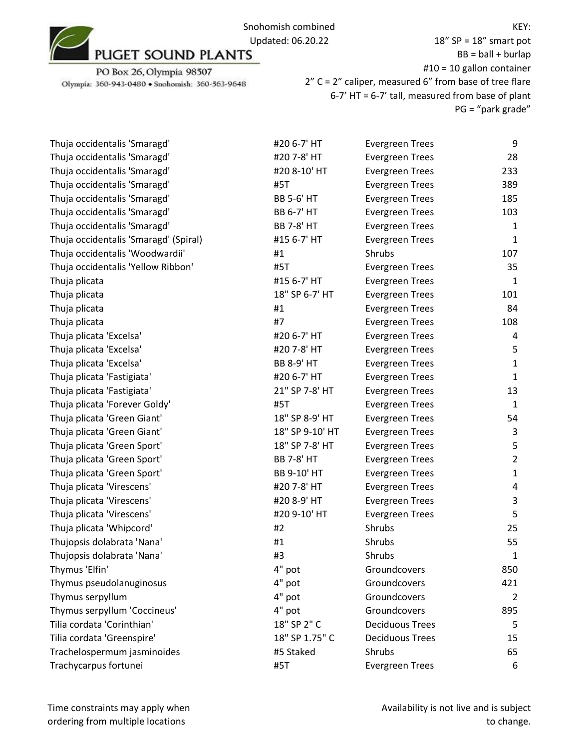

PO Box 26, Olympia 98507 Olympia: 360-943-0480 · Snohomish: 360-563-9648

18" SP = 18" smart pot  $BB = ball + burlap$ #10 = 10 gallon container 2" C = 2" caliper, measured 6" from base of tree flare 6-7' HT = 6-7' tall, measured from base of plant PG = "park grade"

| Thuja occidentalis 'Smaragd'          | #20 6-7' HT       | <b>Evergreen Trees</b> | 9              |
|---------------------------------------|-------------------|------------------------|----------------|
| Thuja occidentalis 'Smaragd'          | #20 7-8' HT       | <b>Evergreen Trees</b> | 28             |
| Thuja occidentalis 'Smaragd'          | #20 8-10' HT      | <b>Evergreen Trees</b> | 233            |
| Thuja occidentalis 'Smaragd'          | #5T               | <b>Evergreen Trees</b> | 389            |
| Thuja occidentalis 'Smaragd'          | <b>BB 5-6' HT</b> | <b>Evergreen Trees</b> | 185            |
| Thuja occidentalis 'Smaragd'          | <b>BB 6-7' HT</b> | <b>Evergreen Trees</b> | 103            |
| Thuja occidentalis 'Smaragd'          | <b>BB 7-8' HT</b> | <b>Evergreen Trees</b> | 1              |
| Thuja occidentalis 'Smaragd' (Spiral) | #15 6-7' HT       | <b>Evergreen Trees</b> | $\mathbf{1}$   |
| Thuja occidentalis 'Woodwardii'       | #1                | Shrubs                 | 107            |
| Thuja occidentalis 'Yellow Ribbon'    | #5T               | <b>Evergreen Trees</b> | 35             |
| Thuja plicata                         | #15 6-7' HT       | <b>Evergreen Trees</b> | $\mathbf{1}$   |
| Thuja plicata                         | 18" SP 6-7' HT    | <b>Evergreen Trees</b> | 101            |
| Thuja plicata                         | #1                | <b>Evergreen Trees</b> | 84             |
| Thuja plicata                         | #7                | <b>Evergreen Trees</b> | 108            |
| Thuja plicata 'Excelsa'               | #20 6-7' HT       | <b>Evergreen Trees</b> | 4              |
| Thuja plicata 'Excelsa'               | #20 7-8' HT       | <b>Evergreen Trees</b> | 5              |
| Thuja plicata 'Excelsa'               | <b>BB 8-9' HT</b> | <b>Evergreen Trees</b> | $\mathbf{1}$   |
| Thuja plicata 'Fastigiata'            | #20 6-7' HT       | <b>Evergreen Trees</b> | $\mathbf{1}$   |
| Thuja plicata 'Fastigiata'            | 21" SP 7-8' HT    | <b>Evergreen Trees</b> | 13             |
| Thuja plicata 'Forever Goldy'         | #5T               | <b>Evergreen Trees</b> | $\mathbf{1}$   |
| Thuja plicata 'Green Giant'           | 18" SP 8-9' HT    | <b>Evergreen Trees</b> | 54             |
| Thuja plicata 'Green Giant'           | 18" SP 9-10' HT   | <b>Evergreen Trees</b> | 3              |
| Thuja plicata 'Green Sport'           | 18" SP 7-8' HT    | <b>Evergreen Trees</b> | 5              |
| Thuja plicata 'Green Sport'           | <b>BB 7-8' HT</b> | <b>Evergreen Trees</b> | $\overline{2}$ |
| Thuja plicata 'Green Sport'           | BB 9-10' HT       | <b>Evergreen Trees</b> | $\mathbf{1}$   |
| Thuja plicata 'Virescens'             | #20 7-8' HT       | <b>Evergreen Trees</b> | 4              |
| Thuja plicata 'Virescens'             | #20 8-9' HT       | <b>Evergreen Trees</b> | 3              |
| Thuja plicata 'Virescens'             | #20 9-10' HT      | <b>Evergreen Trees</b> | 5              |
| Thuja plicata 'Whipcord'              | #2                | Shrubs                 | 25             |
| Thujopsis dolabrata 'Nana'            | #1                | Shrubs                 | 55             |
| Thujopsis dolabrata 'Nana'            | #3                | Shrubs                 | $\mathbf{1}$   |
| Thymus 'Elfin'                        | 4" pot            | Groundcovers           | 850            |
| Thymus pseudolanuginosus              | 4" pot            | Groundcovers           | 421            |
| Thymus serpyllum                      | 4" pot            | Groundcovers           | 2              |
| Thymus serpyllum 'Coccineus'          | 4" pot            | Groundcovers           | 895            |
| Tilia cordata 'Corinthian'            | 18" SP 2" C       | <b>Deciduous Trees</b> | 5              |
| Tilia cordata 'Greenspire'            | 18" SP 1.75" C    | <b>Deciduous Trees</b> | 15             |
| Trachelospermum jasminoides           | #5 Staked         | Shrubs                 | 65             |
| Trachycarpus fortunei                 | #5T               | <b>Evergreen Trees</b> | 6              |
|                                       |                   |                        |                |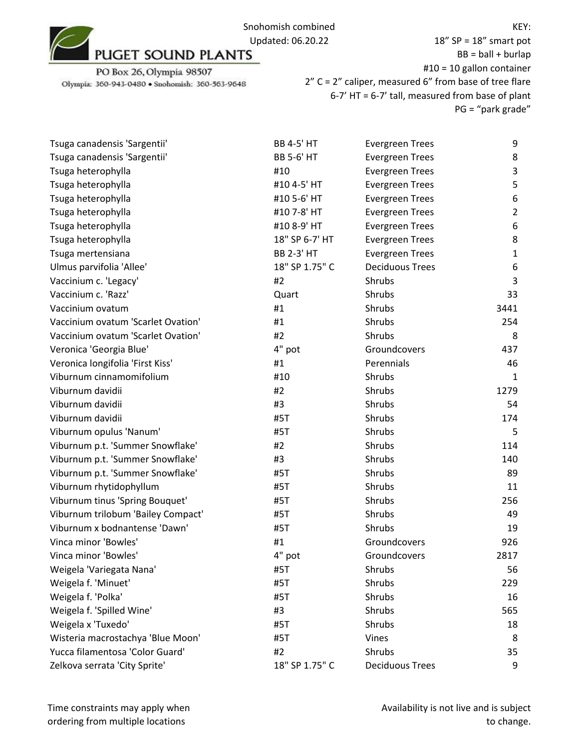

PO Box 26, Olympia 98507 Olympia: 360-943-0480 · Snohomish: 360-563-9648

18" SP = 18" smart pot  $BB = ball + burlap$ #10 = 10 gallon container 2" C = 2" caliper, measured 6" from base of tree flare 6-7' HT = 6-7' tall, measured from base of plant PG = "park grade"

| Tsuga canadensis 'Sargentii'       | <b>BB 4-5' HT</b> | <b>Evergreen Trees</b> | 9                |
|------------------------------------|-------------------|------------------------|------------------|
| Tsuga canadensis 'Sargentii'       | <b>BB 5-6' HT</b> | <b>Evergreen Trees</b> | 8                |
| Tsuga heterophylla                 | #10               | <b>Evergreen Trees</b> | $\mathsf{3}$     |
| Tsuga heterophylla                 | #10 4-5' HT       | <b>Evergreen Trees</b> | 5                |
| Tsuga heterophylla                 | #10 5-6' HT       | <b>Evergreen Trees</b> | 6                |
| Tsuga heterophylla                 | #10 7-8' HT       | <b>Evergreen Trees</b> | $\overline{2}$   |
| Tsuga heterophylla                 | #10 8-9' HT       | <b>Evergreen Trees</b> | 6                |
| Tsuga heterophylla                 | 18" SP 6-7' HT    | <b>Evergreen Trees</b> | 8                |
| Tsuga mertensiana                  | <b>BB 2-3' HT</b> | <b>Evergreen Trees</b> | $\mathbf{1}$     |
| Ulmus parvifolia 'Allee'           | 18" SP 1.75" C    | <b>Deciduous Trees</b> | 6                |
| Vaccinium c. 'Legacy'              | #2                | Shrubs                 | 3                |
| Vaccinium c. 'Razz'                | Quart             | Shrubs                 | 33               |
| Vaccinium ovatum                   | #1                | Shrubs                 | 3441             |
| Vaccinium ovatum 'Scarlet Ovation' | #1                | Shrubs                 | 254              |
| Vaccinium ovatum 'Scarlet Ovation' | #2                | Shrubs                 | 8                |
| Veronica 'Georgia Blue'            | 4" pot            | Groundcovers           | 437              |
| Veronica longifolia 'First Kiss'   | #1                | Perennials             | 46               |
| Viburnum cinnamomifolium           | #10               | Shrubs                 | $\mathbf{1}$     |
| Viburnum davidii                   | #2                | Shrubs                 | 1279             |
| Viburnum davidii                   | #3                | Shrubs                 | 54               |
| Viburnum davidii                   | #5T               | Shrubs                 | 174              |
| Viburnum opulus 'Nanum'            | #5T               | Shrubs                 | 5                |
| Viburnum p.t. 'Summer Snowflake'   | #2                | Shrubs                 | 114              |
| Viburnum p.t. 'Summer Snowflake'   | #3                | Shrubs                 | 140              |
| Viburnum p.t. 'Summer Snowflake'   | #5T               | Shrubs                 | 89               |
| Viburnum rhytidophyllum            | #5T               | Shrubs                 | 11               |
| Viburnum tinus 'Spring Bouquet'    | #5T               | Shrubs                 | 256              |
| Viburnum trilobum 'Bailey Compact' | #5T               | Shrubs                 | 49               |
| Viburnum x bodnantense 'Dawn'      | #5T               | Shrubs                 | 19               |
| Vinca minor 'Bowles'               | #1                | Groundcovers           | 926              |
| Vinca minor 'Bowles'               | 4" pot            | Groundcovers           | 2817             |
| Weigela 'Variegata Nana'           | #5T               | Shrubs                 | 56               |
| Weigela f. 'Minuet'                | #5T               | Shrubs                 | 229              |
| Weigela f. 'Polka'                 | #5T               | Shrubs                 | 16               |
| Weigela f. 'Spilled Wine'          | #3                | Shrubs                 | 565              |
| Weigela x 'Tuxedo'                 | #5T               | Shrubs                 | 18               |
| Wisteria macrostachya 'Blue Moon'  | #5T               | Vines                  | 8                |
| Yucca filamentosa 'Color Guard'    | #2                | Shrubs                 | 35               |
| Zelkova serrata 'City Sprite'      | 18" SP 1.75" C    | <b>Deciduous Trees</b> | $\boldsymbol{9}$ |